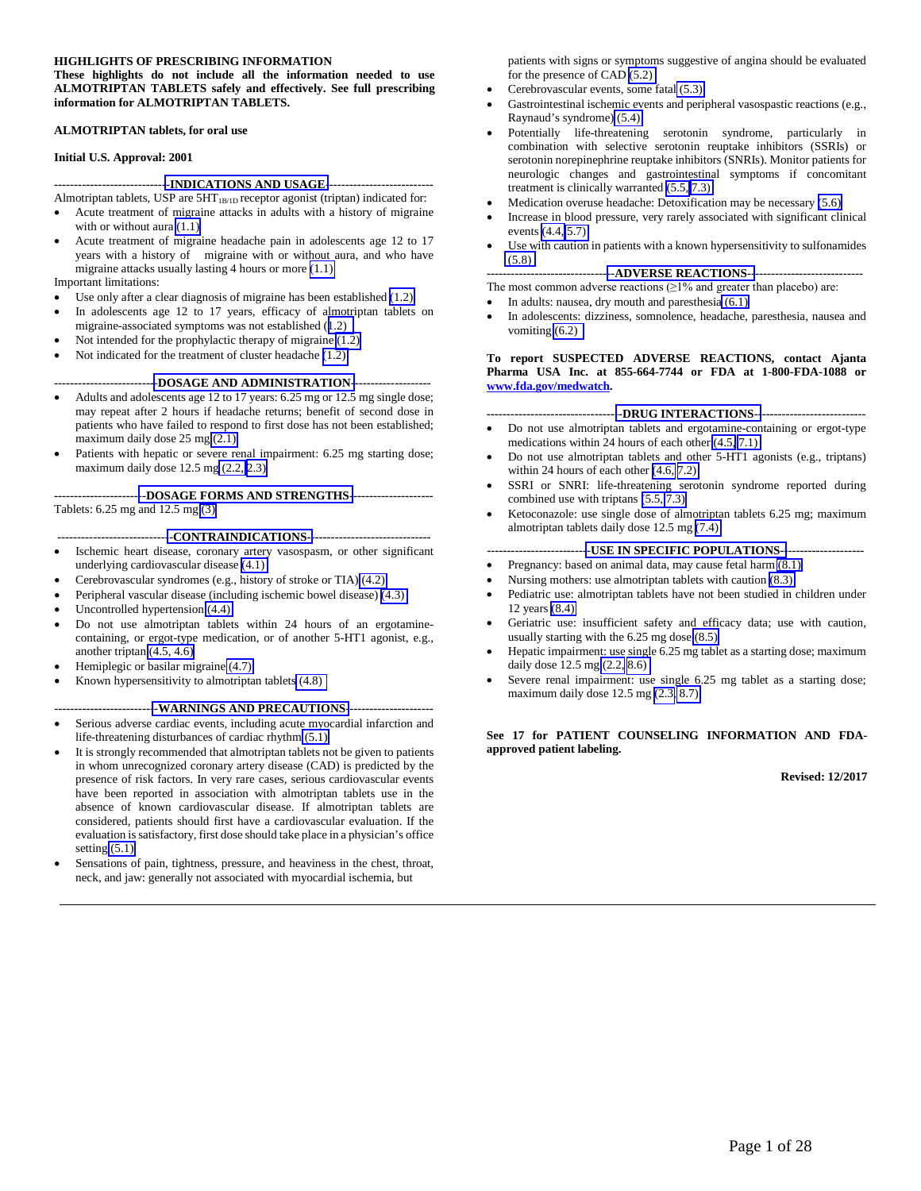#### **HIGHLIGHTS OF PRESCRIBING INFORMATION**

**These highlights do not include all the information needed to use ALMOTRIPTAN TABLETS safely and effectively. See full prescribing information for ALMOTRIPTAN TABLETS.** 

#### **ALMOTRIPTAN tablets, for oral use**

#### **Initial U.S. Approval: 2001**

#### **---------------------------[--INDICATIONS AND USAGE-](#page-2-0)--------------------------**

- Almotriptan tablets, USP are 5HT<sub>1B/1D</sub> receptor agonist (triptan) indicated for: • Acute treatment of migraine attacks in adults with a history of migraine with or without aura  $(1.1)$
- Acute treatment of migraine headache pain in adolescents age 12 to 17 years with a history of migraine with or without aura, and who have migraine attacks usually lasting 4 hours or more [\(1.1\)](#page-2-0)

Important limitations:

- Use only after a clear diagnosis of migraine has been established [\(1.2\)](#page-2-0)
- In adolescents age 12 to 17 years, efficacy of almotriptan tablets on migraine-associated symptoms was not established ([1.2\)](#page-2-0)
- Not intended for the prophylactic therapy of migraine [\(1.2\)](#page-2-0)
- Not indicated for the treatment of cluster headache [\(1.2\)](#page-2-0)

#### **-------------------------[-DOSAGE AND ADMINISTRATION--](#page-2-0)------------------**

- Adults and adolescents age 12 to 17 years: 6.25 mg or 12.5 mg single dose; may repeat after 2 hours if headache returns; benefit of second dose in patients who have failed to respond to first dose has not been established; maximum daily dose 25 mg [\(2.1\)](#page-2-0)
- Patients with hepatic or severe renal impairment: 6.25 mg starting dose; maximum daily dose 12.5 mg [\(2.2,](#page-2-0) [2.3\)](#page-3-0)

**---------------------[--DOSAGE FORMS AND STRENGTHS-](#page-3-0)--------------------** Tablets: 6.25 mg and 12.5 mg [\(3\)](#page-3-0)

#### **---------------------------[--CONTRAINDICATIONS--](#page-3-0)-----------------------------**

- Ischemic heart disease, coronary artery vasospasm, or other significant underlying cardiovascular disease [\(4.1\)](#page-3-0)
- Cerebrovascular syndromes (e.g., history of stroke or TIA) [\(4.2\)](#page-3-0)
- Peripheral vascular disease (including ischemic bowel disease) [\(4.3\)](#page-3-0)
- Uncontrolled hypertension  $(4.4)$
- Do not use almotriptan tablets within 24 hours of an ergotaminecontaining, or ergot-type medication, or of another 5-HT1 agonist, e.g., another triptan [\(4.5, 4.6\)](#page-3-0)
- Hemiplegic or basilar migraine [\(4.7\)](#page-3-0)
- Known hypersensitivity to almotriptan tablets [\(4.8\)](#page-4-0)

**------------------------[--WARNINGS AND PRECAUTIONS-](#page-4-0)---------------------**

- Serious adverse cardiac events, including acute myocardial infarction and life-threatening disturbances of cardiac rhythm [\(5.1\)](#page-4-0)
- It is strongly recommended that almotriptan tablets not be given to patients in whom unrecognized coronary artery disease (CAD) is predicted by the presence of risk factors. In very rare cases, serious cardiovascular events have been reported in association with almotriptan tablets use in the absence of known cardiovascular disease. If almotriptan tablets are considered, patients should first have a cardiovascular evaluation. If the evaluation is satisfactory, first dose should take place in a physician's office setting [\(5.1\)](#page-4-0)
- Sensations of pain, tightness, pressure, and heaviness in the chest, throat, neck, and jaw: generally not associated with myocardial ischemia, but

patients with signs or symptoms suggestive of angina should be evaluated for the presence of CAD [\(5.2\)](#page-5-0)

- Cerebrovascular events, some fatal [\(5.3\)](#page-5-0)
- Gastrointestinal ischemic events and peripheral vasospastic reactions (e.g., Raynaud's syndrome) [\(5.4\)](#page-6-0)
- Potentially life-threatening serotonin syndrome, particularly in combination with selective serotonin reuptake inhibitors (SSRIs) or serotonin norepinephrine reuptake inhibitors (SNRIs). Monitor patients for neurologic changes and gastrointestinal symptoms if concomitant treatment is clinically warranted [\(5.5,](#page-6-0) [7.3\)](#page-11-0)
- Medication overuse headache: Detoxification may be necessary [\(5.6\)](#page-6-0)
- Increase in blood pressure, very rarely associated with significant clinical events [\(4.4,](#page-3-0) [5.7\)](#page-6-0)
- Use with caution in patients with a known hypersensitivity to sulfonamides [\(5.8\)](#page-7-0)

#### **------------------------------[--ADVERSE REACTIONS--](#page-7-0)---------------------------**

The most common adverse reactions  $(\geq 1\%$  and greater than placebo) are:

- In adults: nausea, dry mouth and paresthesia  $(6.1)$
- In adolescents: dizziness, somnolence, headache, paresthesia, nausea and vomiting [\(6.2\)](#page-9-0)

#### **To report SUSPECTED ADVERSE REACTIONS, contact Ajanta Pharma USA Inc. at 855-664-7744 or FDA at 1-800-FDA-1088 or www.fda.gov/medwatch.**

**--------------------------------[--DRUG INTERACTIONS--](#page-11-0)--------------------------**

- Do not use almotriptan tablets and ergotamine-containing or ergot-type medications within 24 hours of each other [\(4.5,](#page-3-0) [7.1\)](#page-11-0)
- Do not use almotriptan tablets and other 5-HT1 agonists (e.g., triptans) within 24 hours of each other [\(4.6,](#page-3-0) [7.2\)](#page-11-0)
- SSRI or SNRI: life-threatening serotonin syndrome reported during combined use with triptans [\(5.5,](#page-6-0) [7.3\)](#page-11-0)
- Ketoconazole: use single dose of almotriptan tablets 6.25 mg; maximum almotriptan tablets daily dose 12.5 mg [\(7.4\)](#page-11-0)

#### **------------------------[--USE IN SPECIFIC POPULATIONS--](#page-12-0)-------------------**

- Pregnancy: based on animal data, may cause fetal harm [\(8.1\)](#page-12-0)
- Nursing mothers: use almotriptan tablets with caution [\(8.3\)](#page-12-0)
- Pediatric use: almotriptan tablets have not been studied in children under 12 years [\(8.4\)](#page-12-0)
- Geriatric use: insufficient safety and efficacy data; use with caution, usually starting with the 6.25 mg dose [\(8.5\)](#page-13-0)
- Hepatic impairment: use single 6.25 mg tablet as a starting dose; maximum daily dose 12.5 mg [\(2.2,](#page-2-0) [8.6\)](#page-13-0)
- Severe renal impairment: use single 6.25 mg tablet as a starting dose; maximum daily dose 12.5 mg [\(2.3,](#page-3-0) [8.7\)](#page-13-0)

**See 17 for PATIENT COUNSELING INFORMATION AND FDAapproved patient labeling.** 

**Revised: 12/2017**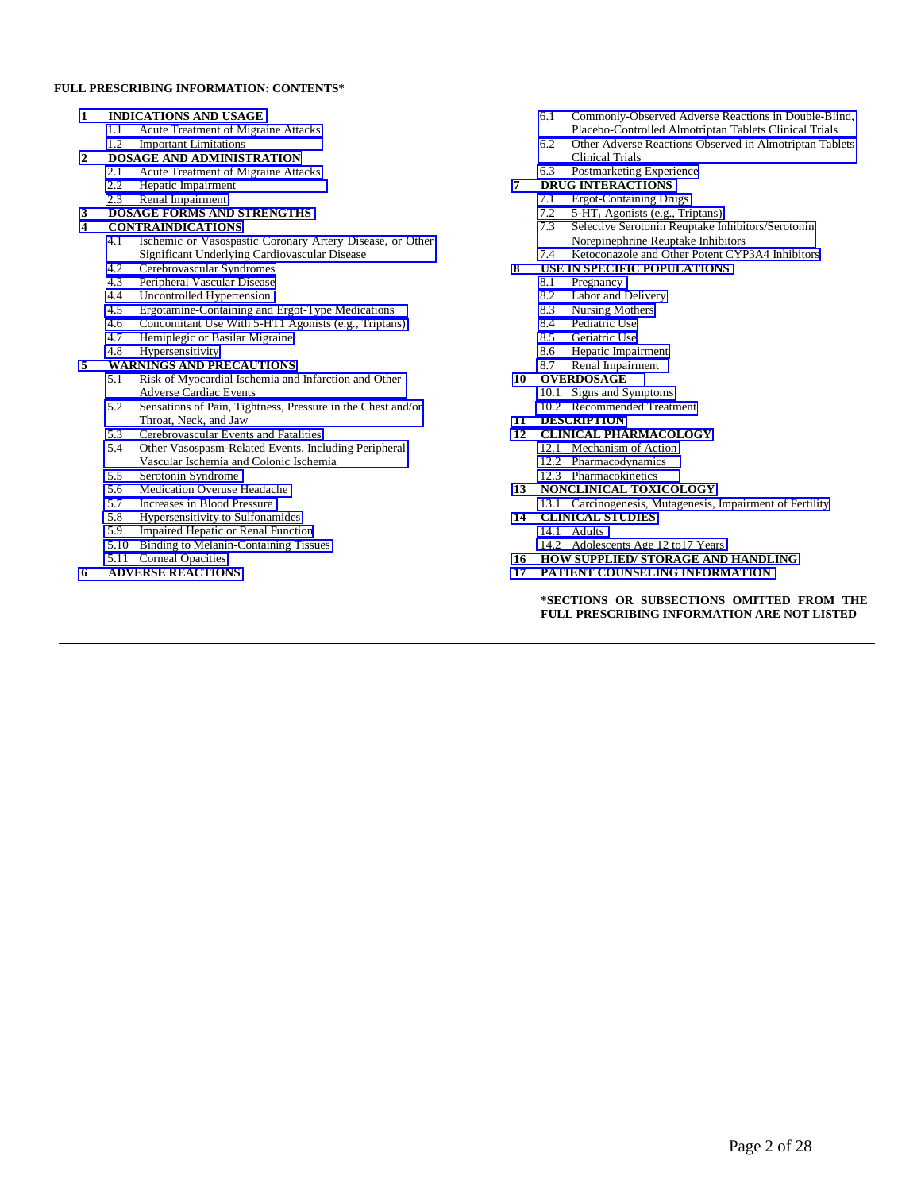#### **FULL PRESCRIBING INFORMATION: CONTENTS\***

#### **1 [INDICATIONS AND USAGE](#page-2-0)**

- 1.1 [Acute Treatment of Migraine Attacks](#page-2-0)<br>1.2 Important Limitations
- **[Important Limitations](#page-2-0)**

#### **2 [DOSAGE AND ADMINISTRATION](#page-2-0)**

- 2.1 [Acute Treatment of Migraine Attacks](#page-2-0)
- 2.2 Hepatic Impairment<br>2.3 Renal Impairment
- Renal Impairment

#### **3 [DOSAGE FORMS AND STRENGTHS](#page-3-0)**

- **4 [CONTRAINDICATIONS](#page-3-0)**
	- 4.1 [Ischemic or Vasospastic Coronary Artery Disease, or Other](#page-3-0)  Significant Underlying Cardiovascular Disease
	- 4.2 [Cerebrovascular Syndromes](#page-3-0)
	- 4.3 [Peripheral Vascular Disease](#page-3-0)
	- 4.4 [Uncontrolled Hypertension](#page-3-0)<br>4.5 Ergotamine-Containing and
	- 4.5 [Ergotamine-Containing and Ergot-Type Medications](#page-3-0)
	- 4.6 Concomitant Use With 5-HT1 Agonists (e.g., Triptans)<br>4.7 Heminlevic or Basilar Migraine
	- 4.7 Hemiplegic or Basilar Migraine<br>4.8 Hypersensitivity
	- 4.8 [Hypersensitivity](#page-4-0)

#### **5 [WARNINGS AND PRECAUTIONS](#page-4-0)**

- 5.1 [Risk of Myocardial Ischemia and Infarction and Other](#page-4-0)  Adverse Cardiac Events
- 5.2 [Sensations of Pain, Tightness, Pressure in the Chest and/or](#page-5-0)  Throat, Neck, and Jaw
- 5.3 [Cerebrovascular Events and Fatalities](#page-5-0)
- 5.4 [Other Vasospasm-Related Events, Including Peripheral](#page-6-0)  Vascular Ischemia and Colonic Ischemia
- 5.5 [Serotonin Syndrome](#page-6-0)
- 5.6 [Medication Overuse Headache](#page-6-0)<br>5.7 Increases in Blood Pressure
- 5.7 [Increases in Blood Pressure](#page-6-0)
- 5.8 [Hypersensitivity to Sulfonamides](#page-7-0)
- 5.9 [Impaired Hepatic or Renal Function](#page-7-0)
- 5.10 [Binding to Melanin-Containing Tissues](#page-7-0)
- 5.11 [Corneal Opacities](#page-7-0)
- **6 [ADVERSE REACTIONS](#page-7-0)**
- 6.1 [Commonly-Observed Adverse Reactions in Double-Blind,](#page-8-0)
- Placebo-Controlled Almotriptan Tablets Clinical Trials
- 6.2 [Other Adverse Reactions Observed in Almotriptan Tablets](#page-9-0)  Clinical Trials
- 6.3 [Postmarketing Experience](#page-10-0)
- **7 [DRUG INTERACTIONS](#page-11-0)** 
	- **Ergot-Containing Drugs**
	- 7.2  $5-\text{HT}_1$  Agonists (e.g., Triptans)<br>7.3 Selective Serotonin Reuptake In
	- Selective Serotonin Reuptake Inhibitors/Serotonin Norepinephrine Reuptake Inhibitors
	- 7.4 [Ketoconazole and Other Potent CYP3A4 Inhibitors](#page-11-0)
- **8 [USE IN SPECIFIC POPULATIONS](#page-12-0)** 
	- 8.1 [Pregnancy](#page-12-0)
		- 8.2 Labor and Delivery<br>8.3 Nursing Mothers
		- [Nursing Mothers](#page-12-0)
		- 8.4 Pediatric Use<br>8.5 Geriatric Use
		- [Geriatric Use](#page-13-0)
		- 8.6 [Hepatic Impairment](#page-13-0)<br>8.7 Renal Impairment
	- Renal Impairment
- **10 [OVERDOSAGE](#page-13-0)** 
	- 10.1 [Signs and Symptoms](#page-13-0)
	- 10.2 [Recommended Treatment](#page-13-0)
- **11 [DESCRIPTION](#page-14-0)**
- **12 [CLINICAL PHARMACOLOGY](#page-14-0)** 
	- 12.1 [Mechanism of Action](#page-14-0)
	- 12.2 [Pharmacodynamics](#page-14-0)
- 12.3 [Pharmacokinetics](#page-14-0)  **13 [NONCLINICAL TOXICOLOGY](#page-16-0)** 
	- 13.1 [Carcinogenesis, Mutagenesis, Impairment of Fertility](#page-17-0)
- **14 [CLINICAL STUDIES](#page-17-0)** 
	- 14.1 [Adults](#page-17-0)
	- 14.2 [Adolescents Age 12 to17 Years](#page-19-0)
- **16 [HOW SUPPLIED/ STORAGE AND HANDLING](#page-20-0)**
- **17 [PATIENT COUNSELING INFORMATION](#page-21-0)**

**\*SECTIONS OR SUBSECTIONS OMITTED FROM THE FULL PRESCRIBING INFORMATION ARE NOT LISTED**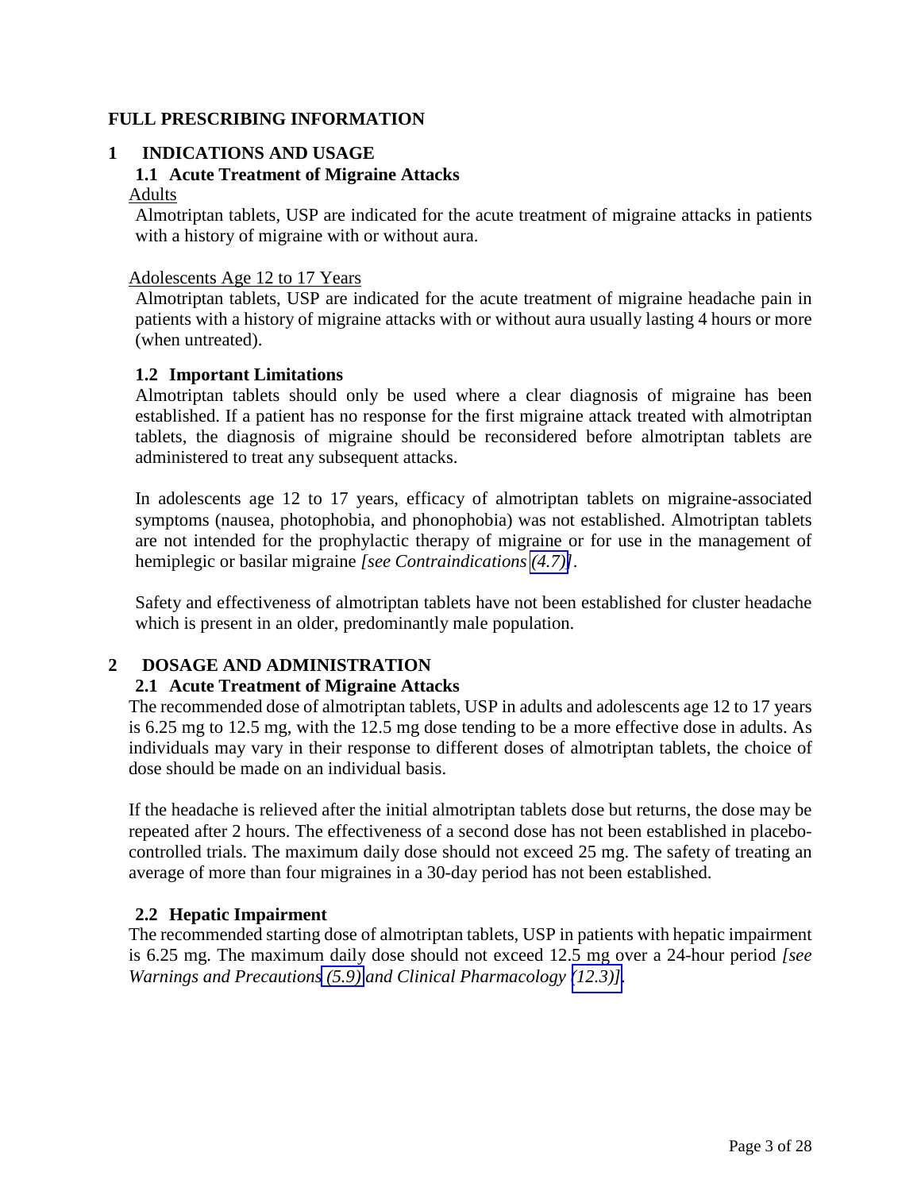# **FULL PRESCRIBING INFORMATION**

### **1 INDICATIONS AND USAGE**

# <span id="page-2-0"></span>**1.1 Acute Treatment of Migraine Attacks**

#### Adults

Almotriptan tablets, USP are indicated for the acute treatment of migraine attacks in patients with a history of migraine with or without aura.

#### Adolescents Age 12 to 17 Years

Almotriptan tablets, USP are indicated for the acute treatment of migraine headache pain in patients with a history of migraine attacks with or without aura usually lasting 4 hours or more (when untreated).

### **1.2 Important Limitations**

Almotriptan tablets should only be used where a clear diagnosis of migraine has been established. If a patient has no response for the first migraine attack treated with almotriptan tablets, the diagnosis of migraine should be reconsidered before almotriptan tablets are administered to treat any subsequent attacks.

In adolescents age 12 to 17 years, efficacy of almotriptan tablets on migraine-associated symptoms (nausea, photophobia, and phonophobia) was not established. Almotriptan tablets are not intended for the prophylactic therapy of migraine or for use in the management of hemiplegic or basilar migraine *[see Contraindications [\(4.7\)\]](#page-3-0)*.

Safety and effectiveness of almotriptan tablets have not been established for cluster headache which is present in an older, predominantly male population.

# **2 DOSAGE AND ADMINISTRATION**

### **2.1 Acute Treatment of Migraine Attacks**

The recommended dose of almotriptan tablets, USP in adults and adolescents age 12 to 17 years is 6.25 mg to 12.5 mg, with the 12.5 mg dose tending to be a more effective dose in adults. As individuals may vary in their response to different doses of almotriptan tablets, the choice of dose should be made on an individual basis.

If the headache is relieved after the initial almotriptan tablets dose but returns, the dose may be repeated after 2 hours. The effectiveness of a second dose has not been established in placebocontrolled trials. The maximum daily dose should not exceed 25 mg. The safety of treating an average of more than four migraines in a 30-day period has not been established.

### **2.2 Hepatic Impairment**

The recommended starting dose of almotriptan tablets, USP in patients with hepatic impairment is 6.25 mg. The maximum daily dose should not exceed 12.5 mg over a 24-hour period *[see Warnings and Precaution[s \(5.9\)](#page-7-0) and Clinical Pharmacology [\(12.3\)\]](#page-14-0).*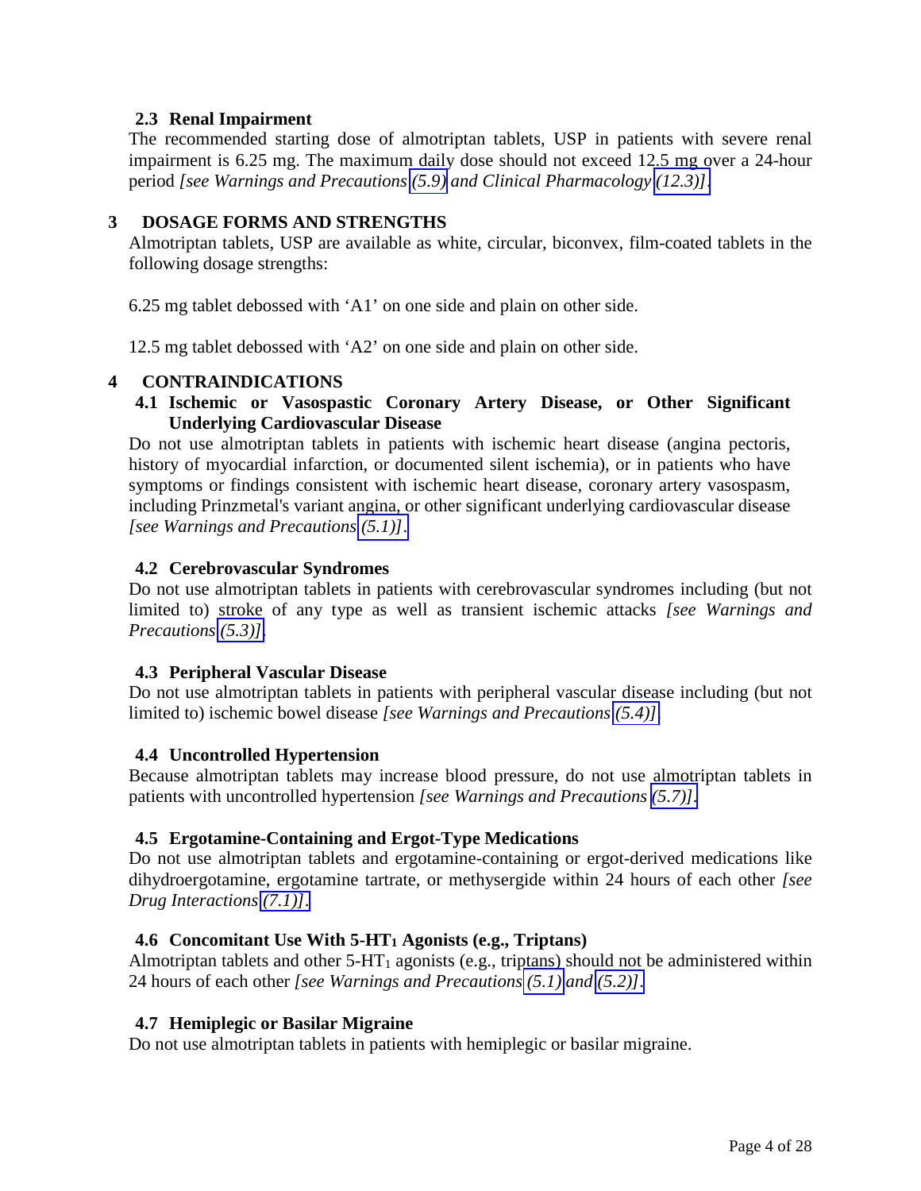# <span id="page-3-0"></span>**2.3 Renal Impairment**

The recommended starting dose of almotriptan tablets, USP in patients with severe renal impairment is 6.25 mg. The maximum daily dose should not exceed 12.5 mg over a 24-hour period *[see Warnings and Precautions [\(5.9\)](#page-7-0) and Clinical Pharmacology [\(12.3\)\]](#page-14-0)*.

# **3 DOSAGE FORMS AND STRENGTHS**

Almotriptan tablets, USP are available as white, circular, biconvex, film-coated tablets in the following dosage strengths:

6.25 mg tablet debossed with 'A1' on one side and plain on other side.

12.5 mg tablet debossed with 'A2' on one side and plain on other side.

### **4 CONTRAINDICATIONS**

# **4.1 Ischemic or Vasospastic Coronary Artery Disease, or Other Significant Underlying Cardiovascular Disease**

Do not use almotriptan tablets in patients with ischemic heart disease (angina pectoris, history of myocardial infarction, or documented silent ischemia), or in patients who have symptoms or findings consistent with ischemic heart disease, coronary artery vasospasm, including Prinzmetal's variant angina, or other significant underlying cardiovascular disease *[see Warnings and Precautions [\(5.1\)\]](#page-4-0)*.

### **4.2 Cerebrovascular Syndromes**

Do not use almotriptan tablets in patients with cerebrovascular syndromes including (but not limited to) stroke of any type as well as transient ischemic attacks *[see Warnings and Precautions [\(5.3\)\]](#page-5-0)*.

### **4.3 Peripheral Vascular Disease**

Do not use almotriptan tablets in patients with peripheral vascular disease including (but not limited to) ischemic bowel disease *[see Warnings and Precautions [\(5.4\)\]](#page-6-0)*.

### **4.4 Uncontrolled Hypertension**

Because almotriptan tablets may increase blood pressure, do not use almotriptan tablets in patients with uncontrolled hypertension *[see Warnings and Precautions [\(5.7\)\].](#page-6-0)*

# **4.5 Ergotamine-Containing and Ergot-Type Medications**

Do not use almotriptan tablets and ergotamine-containing or ergot-derived medications like dihydroergotamine, ergotamine tartrate, or methysergide within 24 hours of each other *[see Drug Interactions [\(7.1\)\]](#page-11-0)*.

### **4.6 Concomitant Use With 5-HT1 Agonists (e.g., Triptans)**

Almotriptan tablets and other  $5-HT_1$  agonists (e.g., triptans) should not be administered within 24 hours of each other *[see Warnings and Precautions [\(5.1\)](#page-4-0) and [\(5.2\)\]](#page-5-0)*.

### **4.7 Hemiplegic or Basilar Migraine**

Do not use almotriptan tablets in patients with hemiplegic or basilar migraine.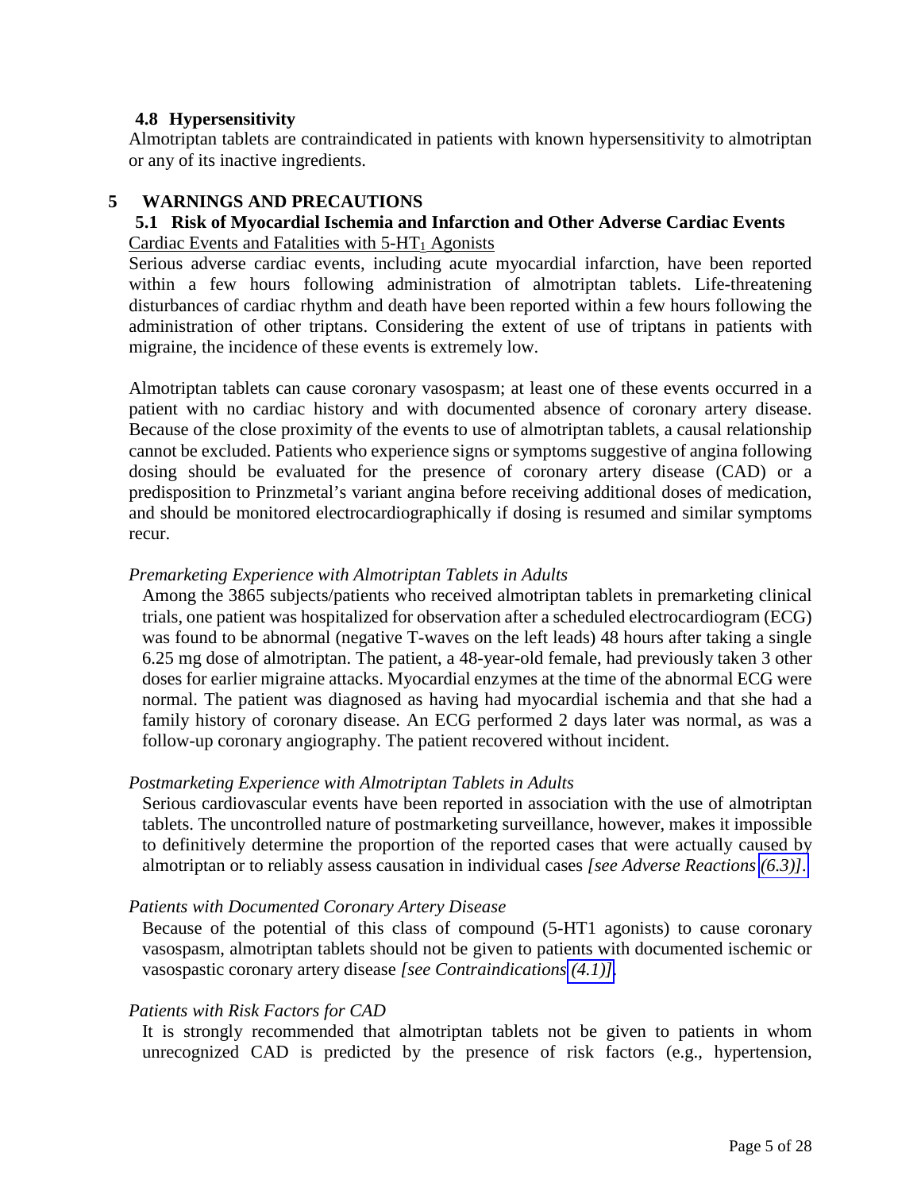# <span id="page-4-0"></span>**4.8 Hypersensitivity**

Almotriptan tablets are contraindicated in patients with known hypersensitivity to almotriptan or any of its inactive ingredients.

# **5 WARNINGS AND PRECAUTIONS**

#### **5.1 Risk of Myocardial Ischemia and Infarction and Other Adverse Cardiac Events**  Cardiac Events and Fatalities with  $5-HT_1$  Agonists

Serious adverse cardiac events, including acute myocardial infarction, have been reported within a few hours following administration of almotriptan tablets. Life-threatening disturbances of cardiac rhythm and death have been reported within a few hours following the administration of other triptans. Considering the extent of use of triptans in patients with migraine, the incidence of these events is extremely low.

Almotriptan tablets can cause coronary vasospasm; at least one of these events occurred in a patient with no cardiac history and with documented absence of coronary artery disease. Because of the close proximity of the events to use of almotriptan tablets, a causal relationship cannot be excluded. Patients who experience signs or symptoms suggestive of angina following dosing should be evaluated for the presence of coronary artery disease (CAD) or a predisposition to Prinzmetal's variant angina before receiving additional doses of medication, and should be monitored electrocardiographically if dosing is resumed and similar symptoms recur.

### *Premarketing Experience with Almotriptan Tablets in Adults*

Among the 3865 subjects/patients who received almotriptan tablets in premarketing clinical trials, one patient was hospitalized for observation after a scheduled electrocardiogram (ECG) was found to be abnormal (negative T-waves on the left leads) 48 hours after taking a single 6.25 mg dose of almotriptan. The patient, a 48-year-old female, had previously taken 3 other doses for earlier migraine attacks. Myocardial enzymes at the time of the abnormal ECG were normal. The patient was diagnosed as having had myocardial ischemia and that she had a family history of coronary disease. An ECG performed 2 days later was normal, as was a follow-up coronary angiography. The patient recovered without incident.

### *Postmarketing Experience with Almotriptan Tablets in Adults*

Serious cardiovascular events have been reported in association with the use of almotriptan tablets. The uncontrolled nature of postmarketing surveillance, however, makes it impossible to definitively determine the proportion of the reported cases that were actually caused by almotriptan or to reliably assess causation in individual cases *[see Adverse Reactions [\(6.3\)\].](#page-10-0)*

#### *Patients with Documented Coronary Artery Disease*

Because of the potential of this class of compound (5-HT1 agonists) to cause coronary vasospasm, almotriptan tablets should not be given to patients with documented ischemic or vasospastic coronary artery disease *[see Contraindications [\(4.1\)\].](#page-3-0)*

#### *Patients with Risk Factors for CAD*

It is strongly recommended that almotriptan tablets not be given to patients in whom unrecognized CAD is predicted by the presence of risk factors (e.g., hypertension,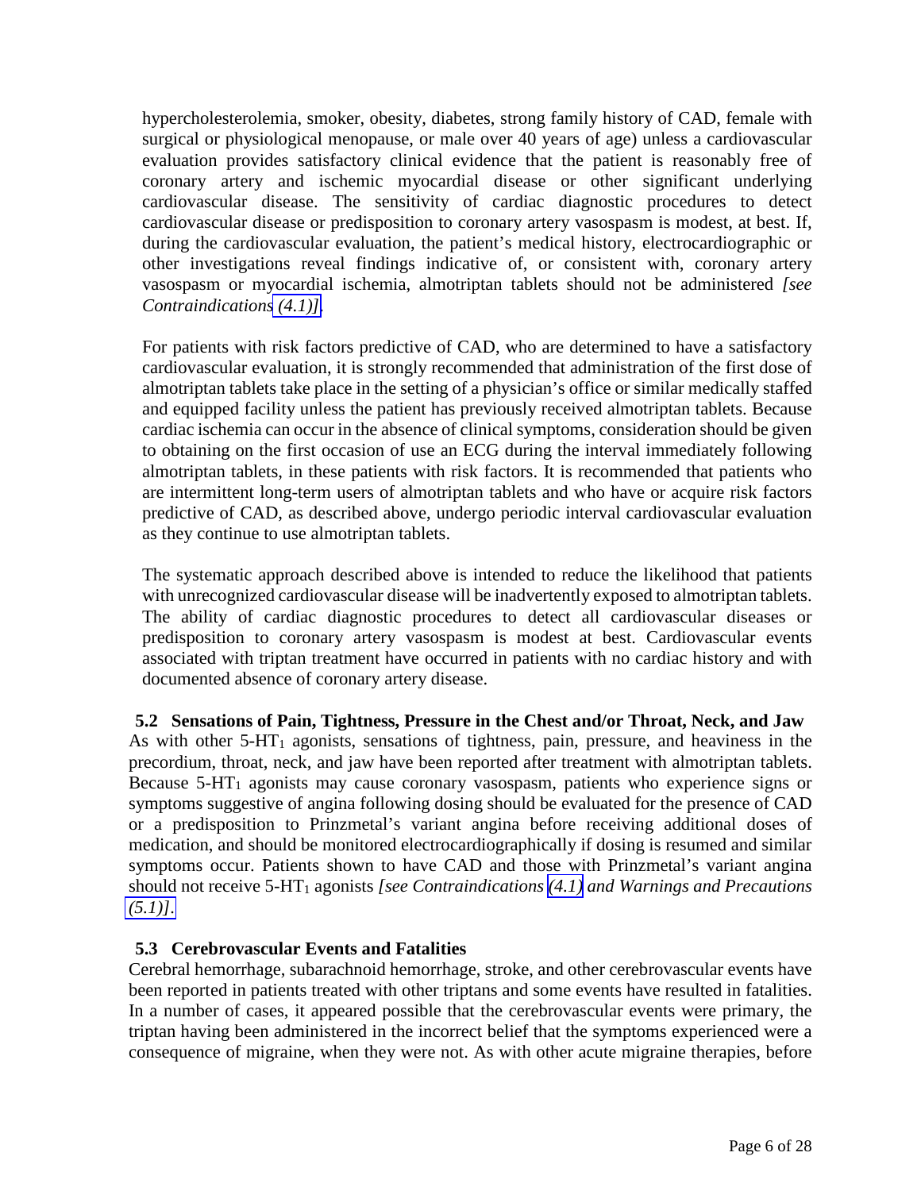<span id="page-5-0"></span>hypercholesterolemia, smoker, obesity, diabetes, strong family history of CAD, female with surgical or physiological menopause, or male over 40 years of age) unless a cardiovascular evaluation provides satisfactory clinical evidence that the patient is reasonably free of coronary artery and ischemic myocardial disease or other significant underlying cardiovascular disease. The sensitivity of cardiac diagnostic procedures to detect cardiovascular disease or predisposition to coronary artery vasospasm is modest, at best. If, during the cardiovascular evaluation, the patient's medical history, electrocardiographic or other investigations reveal findings indicative of, or consistent with, coronary artery vasospasm or myocardial ischemia, almotriptan tablets should not be administered *[see Contraindication[s \(4.1\)\].](#page-3-0)* 

For patients with risk factors predictive of CAD, who are determined to have a satisfactory cardiovascular evaluation, it is strongly recommended that administration of the first dose of almotriptan tablets take place in the setting of a physician's office or similar medically staffed and equipped facility unless the patient has previously received almotriptan tablets. Because cardiac ischemia can occur in the absence of clinical symptoms, consideration should be given to obtaining on the first occasion of use an ECG during the interval immediately following almotriptan tablets, in these patients with risk factors. It is recommended that patients who are intermittent long-term users of almotriptan tablets and who have or acquire risk factors predictive of CAD, as described above, undergo periodic interval cardiovascular evaluation as they continue to use almotriptan tablets.

The systematic approach described above is intended to reduce the likelihood that patients with unrecognized cardiovascular disease will be inadvertently exposed to almotriptan tablets. The ability of cardiac diagnostic procedures to detect all cardiovascular diseases or predisposition to coronary artery vasospasm is modest at best. Cardiovascular events associated with triptan treatment have occurred in patients with no cardiac history and with documented absence of coronary artery disease.

**5.2 Sensations of Pain, Tightness, Pressure in the Chest and/or Throat, Neck, and Jaw**  As with other  $5-HT_1$  agonists, sensations of tightness, pain, pressure, and heaviness in the precordium, throat, neck, and jaw have been reported after treatment with almotriptan tablets. Because 5-HT1 agonists may cause coronary vasospasm, patients who experience signs or symptoms suggestive of angina following dosing should be evaluated for the presence of CAD or a predisposition to Prinzmetal's variant angina before receiving additional doses of medication, and should be monitored electrocardiographically if dosing is resumed and similar symptoms occur. Patients shown to have CAD and those with Prinzmetal's variant angina should not receive 5-HT1 agonists *[see Contraindications [\(4.1\)](#page-3-0) and Warnings and Precautions [\(5.1\)\].](#page-4-0)* 

### **5.3 Cerebrovascular Events and Fatalities**

Cerebral hemorrhage, subarachnoid hemorrhage, stroke, and other cerebrovascular events have been reported in patients treated with other triptans and some events have resulted in fatalities. In a number of cases, it appeared possible that the cerebrovascular events were primary, the triptan having been administered in the incorrect belief that the symptoms experienced were a consequence of migraine, when they were not. As with other acute migraine therapies, before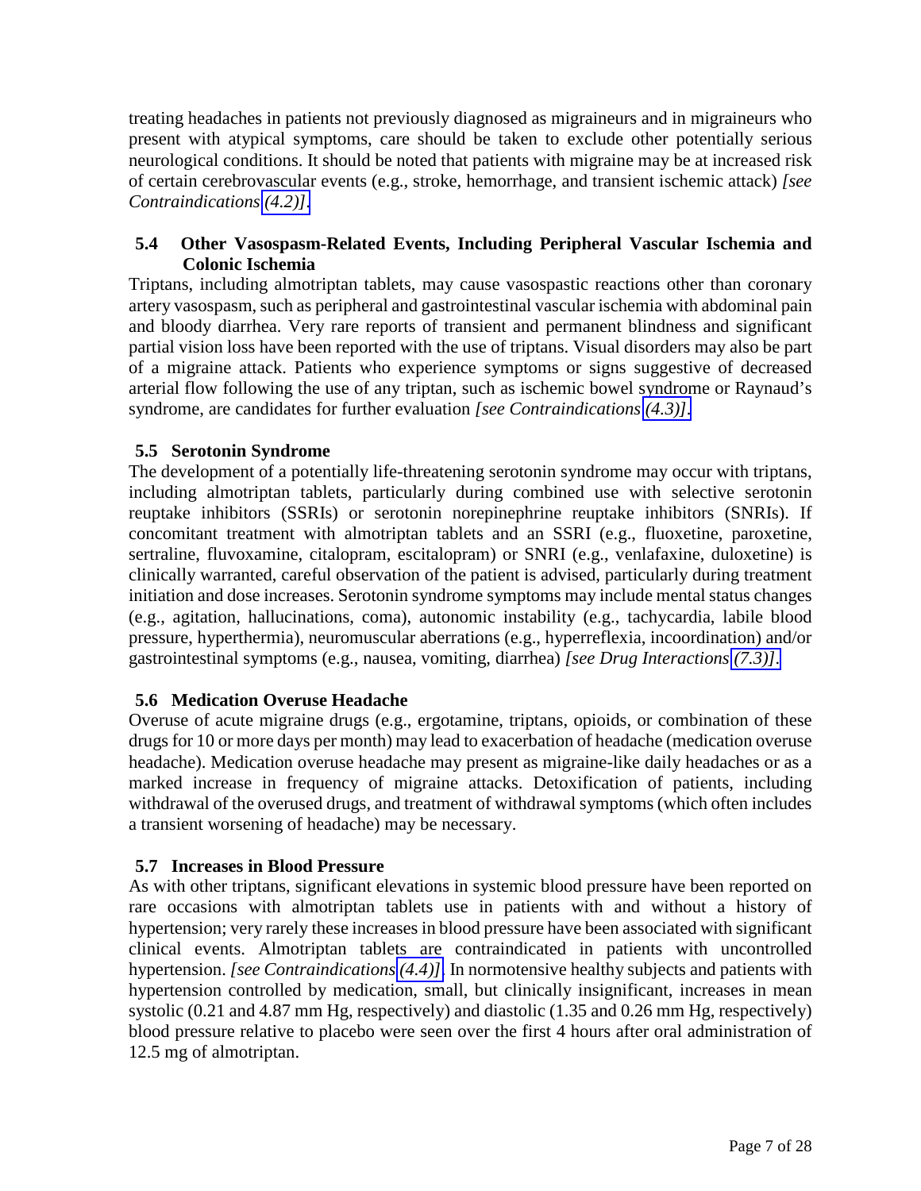<span id="page-6-0"></span>treating headaches in patients not previously diagnosed as migraineurs and in migraineurs who present with atypical symptoms, care should be taken to exclude other potentially serious neurological conditions. It should be noted that patients with migraine may be at increased risk of certain cerebrovascular events (e.g., stroke, hemorrhage, and transient ischemic attack) *[see Contraindications [\(4.2\)\].](#page-3-0)* 

# **5.4 Other Vasospasm-Related Events, Including Peripheral Vascular Ischemia and Colonic Ischemia**

Triptans, including almotriptan tablets, may cause vasospastic reactions other than coronary artery vasospasm, such as peripheral and gastrointestinal vascular ischemia with abdominal pain and bloody diarrhea. Very rare reports of transient and permanent blindness and significant partial vision loss have been reported with the use of triptans. Visual disorders may also be part of a migraine attack. Patients who experience symptoms or signs suggestive of decreased arterial flow following the use of any triptan, such as ischemic bowel syndrome or Raynaud's syndrome, are candidates for further evaluation *[see Contraindications [\(4.3\)\].](#page-3-0)* 

# **5.5 Serotonin Syndrome**

The development of a potentially life-threatening serotonin syndrome may occur with triptans, including almotriptan tablets, particularly during combined use with selective serotonin reuptake inhibitors (SSRIs) or serotonin norepinephrine reuptake inhibitors (SNRIs). If concomitant treatment with almotriptan tablets and an SSRI (e.g., fluoxetine, paroxetine, sertraline, fluvoxamine, citalopram, escitalopram) or SNRI (e.g., venlafaxine, duloxetine) is clinically warranted, careful observation of the patient is advised, particularly during treatment initiation and dose increases. Serotonin syndrome symptoms may include mental status changes (e.g., agitation, hallucinations, coma), autonomic instability (e.g., tachycardia, labile blood pressure, hyperthermia), neuromuscular aberrations (e.g., hyperreflexia, incoordination) and/or gastrointestinal symptoms (e.g., nausea, vomiting, diarrhea) *[see Drug Interactions [\(7.3\)\].](#page-11-0)* 

# **5.6 Medication Overuse Headache**

Overuse of acute migraine drugs (e.g., ergotamine, triptans, opioids, or combination of these drugs for 10 or more days per month) may lead to exacerbation of headache (medication overuse headache). Medication overuse headache may present as migraine-like daily headaches or as a marked increase in frequency of migraine attacks. Detoxification of patients, including withdrawal of the overused drugs, and treatment of withdrawal symptoms (which often includes a transient worsening of headache) may be necessary.

# **5.7 Increases in Blood Pressure**

As with other triptans, significant elevations in systemic blood pressure have been reported on rare occasions with almotriptan tablets use in patients with and without a history of hypertension; very rarely these increases in blood pressure have been associated with significant clinical events. Almotriptan tablets are contraindicated in patients with uncontrolled hypertension. *[see Contraindications [\(4.4\)\]](#page-3-0)*. In normotensive healthy subjects and patients with hypertension controlled by medication, small, but clinically insignificant, increases in mean systolic (0.21 and 4.87 mm Hg, respectively) and diastolic (1.35 and 0.26 mm Hg, respectively) blood pressure relative to placebo were seen over the first 4 hours after oral administration of 12.5 mg of almotriptan.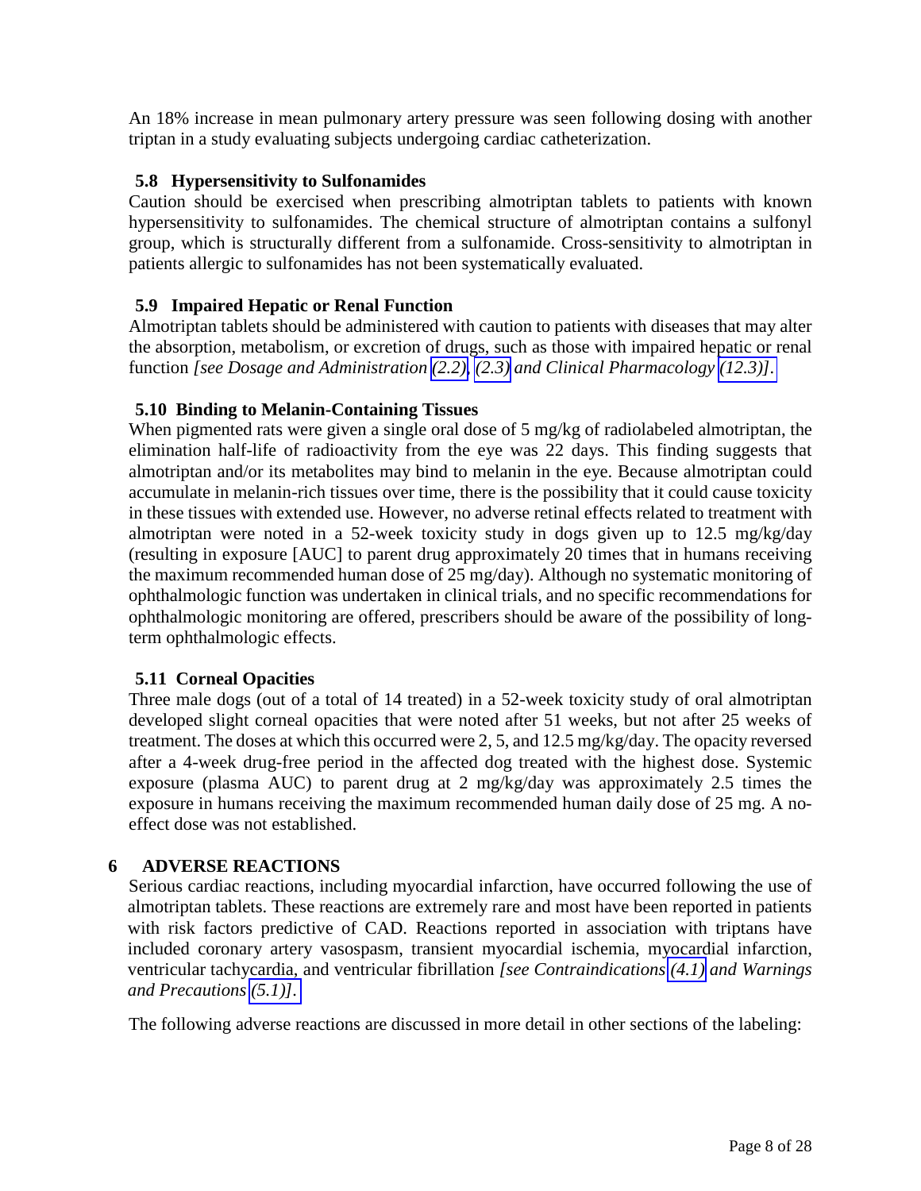<span id="page-7-0"></span>An 18% increase in mean pulmonary artery pressure was seen following dosing with another triptan in a study evaluating subjects undergoing cardiac catheterization.

# **5.8 Hypersensitivity to Sulfonamides**

Caution should be exercised when prescribing almotriptan tablets to patients with known hypersensitivity to sulfonamides. The chemical structure of almotriptan contains a sulfonyl group, which is structurally different from a sulfonamide. Cross-sensitivity to almotriptan in patients allergic to sulfonamides has not been systematically evaluated.

# **5.9 Impaired Hepatic or Renal Function**

Almotriptan tablets should be administered with caution to patients with diseases that may alter the absorption, metabolism, or excretion of drugs, such as those with impaired hepatic or renal function *[see Dosage and Administration [\(2.2\),](#page-2-0) [\(2.3\)](#page-3-0) and Clinical Pharmacology [\(12.3\)\].](#page-14-0)* 

### **5.10 Binding to Melanin-Containing Tissues**

When pigmented rats were given a single oral dose of 5 mg/kg of radiolabeled almotriptan, the elimination half-life of radioactivity from the eye was 22 days. This finding suggests that almotriptan and/or its metabolites may bind to melanin in the eye. Because almotriptan could accumulate in melanin-rich tissues over time, there is the possibility that it could cause toxicity in these tissues with extended use. However, no adverse retinal effects related to treatment with almotriptan were noted in a 52-week toxicity study in dogs given up to 12.5 mg/kg/day (resulting in exposure [AUC] to parent drug approximately 20 times that in humans receiving the maximum recommended human dose of 25 mg/day). Although no systematic monitoring of ophthalmologic function was undertaken in clinical trials, and no specific recommendations for ophthalmologic monitoring are offered, prescribers should be aware of the possibility of longterm ophthalmologic effects.

### **5.11 Corneal Opacities**

Three male dogs (out of a total of 14 treated) in a 52-week toxicity study of oral almotriptan developed slight corneal opacities that were noted after 51 weeks, but not after 25 weeks of treatment. The doses at which this occurred were 2, 5, and 12.5 mg/kg/day. The opacity reversed after a 4-week drug-free period in the affected dog treated with the highest dose. Systemic exposure (plasma AUC) to parent drug at 2 mg/kg/day was approximately 2.5 times the exposure in humans receiving the maximum recommended human daily dose of 25 mg. A noeffect dose was not established.

### **6 ADVERSE REACTIONS**

Serious cardiac reactions, including myocardial infarction, have occurred following the use of almotriptan tablets. These reactions are extremely rare and most have been reported in patients with risk factors predictive of CAD. Reactions reported in association with triptans have included coronary artery vasospasm, transient myocardial ischemia, myocardial infarction, ventricular tachycardia, and ventricular fibrillation *[see Contraindications [\(4.1\)](#page-3-0) and Warnings and Precautions [\(5.1\)\].](#page-4-0)* 

The following adverse reactions are discussed in more detail in other sections of the labeling: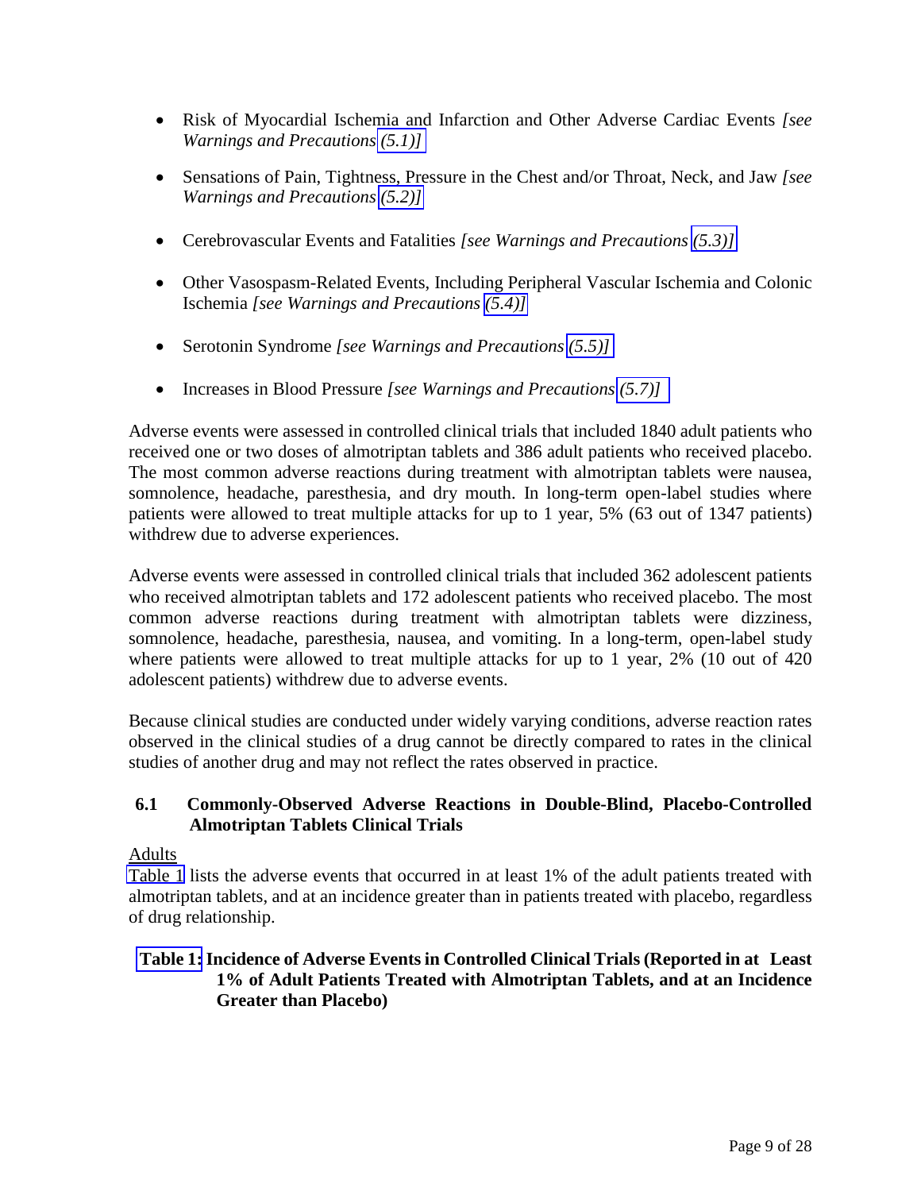- <span id="page-8-0"></span>• Risk of Myocardial Ischemia and Infarction and Other Adverse Cardiac Events *[see Warnings and Precautions [\(5.1\)\]](#page-4-0)*
- Sensations of Pain, Tightness, Pressure in the Chest and/or Throat, Neck, and Jaw *[see Warnings and Precautions [\(5.2\)\]](#page-5-0)*
- Cerebrovascular Events and Fatalities *[see Warnings and Precautions [\(5.3\)\]](#page-5-0)*
- Other Vasospasm-Related Events, Including Peripheral Vascular Ischemia and Colonic Ischemia *[see Warnings and Precautions [\(5.4\)\]](#page-6-0)*
- Serotonin Syndrome *[see Warnings and Precautions [\(5.5\)\]](#page-6-0)*
- Increases in Blood Pressure *[see Warnings and Precautions [\(5.7\)\]](#page-6-0)*

Adverse events were assessed in controlled clinical trials that included 1840 adult patients who received one or two doses of almotriptan tablets and 386 adult patients who received placebo. The most common adverse reactions during treatment with almotriptan tablets were nausea, somnolence, headache, paresthesia, and dry mouth. In long-term open-label studies where patients were allowed to treat multiple attacks for up to 1 year, 5% (63 out of 1347 patients) withdrew due to adverse experiences.

Adverse events were assessed in controlled clinical trials that included 362 adolescent patients who received almotriptan tablets and 172 adolescent patients who received placebo. The most common adverse reactions during treatment with almotriptan tablets were dizziness, somnolence, headache, paresthesia, nausea, and vomiting. In a long-term, open-label study where patients were allowed to treat multiple attacks for up to 1 year, 2% (10 out of 420 adolescent patients) withdrew due to adverse events.

Because clinical studies are conducted under widely varying conditions, adverse reaction rates observed in the clinical studies of a drug cannot be directly compared to rates in the clinical studies of another drug and may not reflect the rates observed in practice.

# **6.1 Commonly-Observed Adverse Reactions in Double-Blind, Placebo-Controlled Almotriptan Tablets Clinical Trials**

### Adults

[Table 1](#page-9-1) lists the adverse events that occurred in at least 1% of the adult patients treated with almotriptan tablets, and at an incidence greater than in patients treated with placebo, regardless of drug relationship.

# **[Table 1:](#page-9-1) Incidence of Adverse Events in Controlled Clinical Trials (Reported in at Least 1% of Adult Patients Treated with Almotriptan Tablets, and at an Incidence Greater than Placebo)**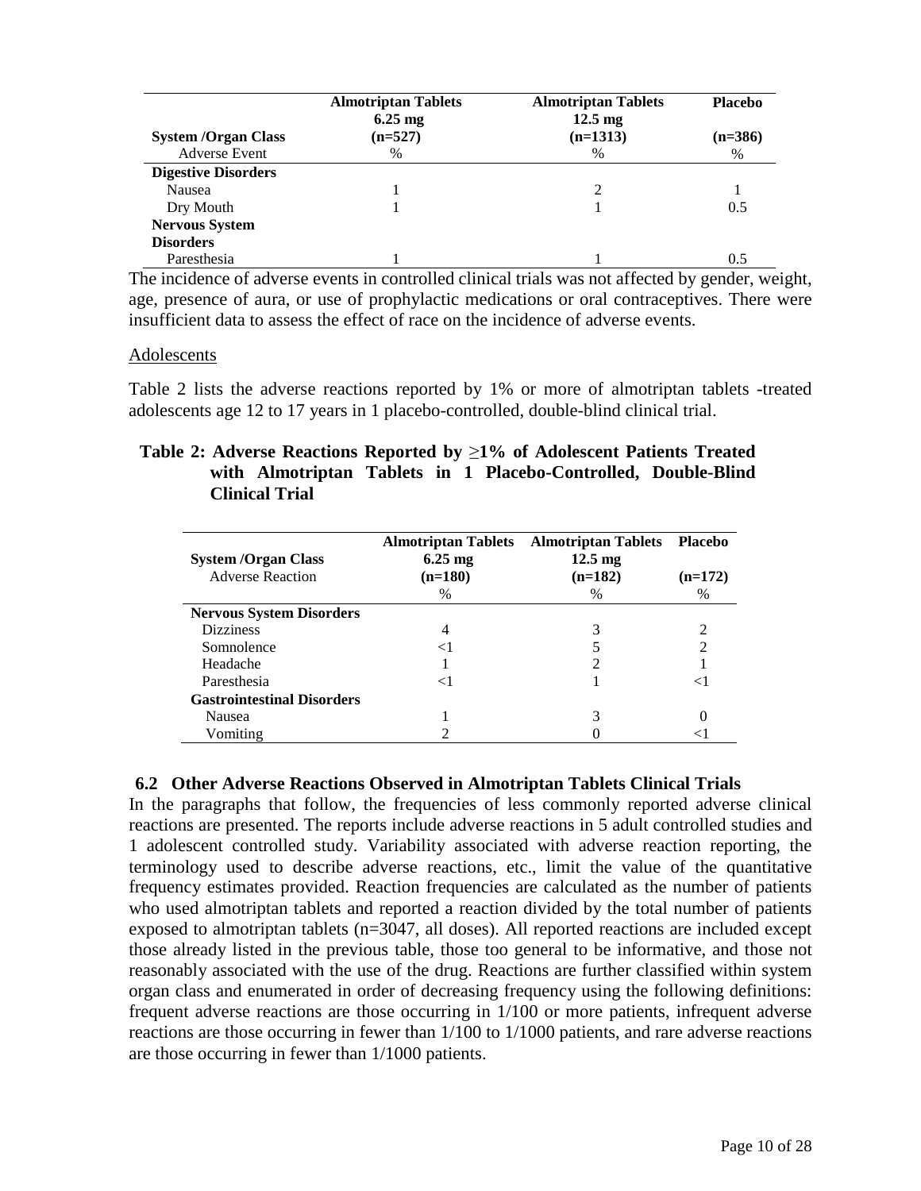<span id="page-9-1"></span><span id="page-9-0"></span>

|                            | <b>Almotriptan Tablets</b><br>$6.25 \text{ mg}$ | <b>Almotriptan Tablets</b><br>$12.5 \text{ mg}$ | <b>Placebo</b> |
|----------------------------|-------------------------------------------------|-------------------------------------------------|----------------|
| <b>System /Organ Class</b> | $(n=527)$                                       | $(n=1313)$                                      | $(n=386)$      |
| <b>Adverse Event</b>       | $\%$                                            | $\%$                                            | %              |
| <b>Digestive Disorders</b> |                                                 |                                                 |                |
| Nausea                     |                                                 | 2                                               |                |
| Dry Mouth                  |                                                 |                                                 | 0.5            |
| <b>Nervous System</b>      |                                                 |                                                 |                |
| <b>Disorders</b>           |                                                 |                                                 |                |
| Paresthesia                |                                                 |                                                 | 0.5            |

The incidence of adverse events in controlled clinical trials was not affected by gender, weight, age, presence of aura, or use of prophylactic medications or oral contraceptives. There were insufficient data to assess the effect of race on the incidence of adverse events.

#### Adolescents

Table 2 lists the adverse reactions reported by 1% or more of almotriptan tablets -treated adolescents age 12 to 17 years in 1 placebo-controlled, double-blind clinical trial.

### **Table 2: Adverse Reactions Reported by** ≥**1% of Adolescent Patients Treated with Almotriptan Tablets in 1 Placebo-Controlled, Double-Blind Clinical Trial**

| <b>System /Organ Class</b>        | <b>Almotriptan Tablets</b><br>$6.25 \text{ mg}$ | <b>Almotriptan Tablets</b><br>$12.5 \text{ mg}$ | <b>Placebo</b> |
|-----------------------------------|-------------------------------------------------|-------------------------------------------------|----------------|
| <b>Adverse Reaction</b>           | $(n=180)$                                       | $(n=182)$                                       | $(n=172)$      |
|                                   | $\%$                                            | $\%$                                            | $\%$           |
| <b>Nervous System Disorders</b>   |                                                 |                                                 |                |
| <b>Dizziness</b>                  |                                                 |                                                 |                |
| Somnolence                        |                                                 |                                                 |                |
| Headache                          |                                                 |                                                 |                |
| Paresthesia                       | $<$ 1                                           |                                                 | $<\,$ $\,$     |
| <b>Gastrointestinal Disorders</b> |                                                 |                                                 |                |
| Nausea                            |                                                 |                                                 | $\mathbf{0}$   |
| Vomiting                          |                                                 |                                                 |                |

### **6.2 Other Adverse Reactions Observed in Almotriptan Tablets Clinical Trials**

In the paragraphs that follow, the frequencies of less commonly reported adverse clinical reactions are presented. The reports include adverse reactions in 5 adult controlled studies and 1 adolescent controlled study. Variability associated with adverse reaction reporting, the terminology used to describe adverse reactions, etc., limit the value of the quantitative frequency estimates provided. Reaction frequencies are calculated as the number of patients who used almotriptan tablets and reported a reaction divided by the total number of patients exposed to almotriptan tablets (n=3047, all doses). All reported reactions are included except those already listed in the previous table, those too general to be informative, and those not reasonably associated with the use of the drug. Reactions are further classified within system organ class and enumerated in order of decreasing frequency using the following definitions: frequent adverse reactions are those occurring in 1/100 or more patients, infrequent adverse reactions are those occurring in fewer than 1/100 to 1/1000 patients, and rare adverse reactions are those occurring in fewer than 1/1000 patients.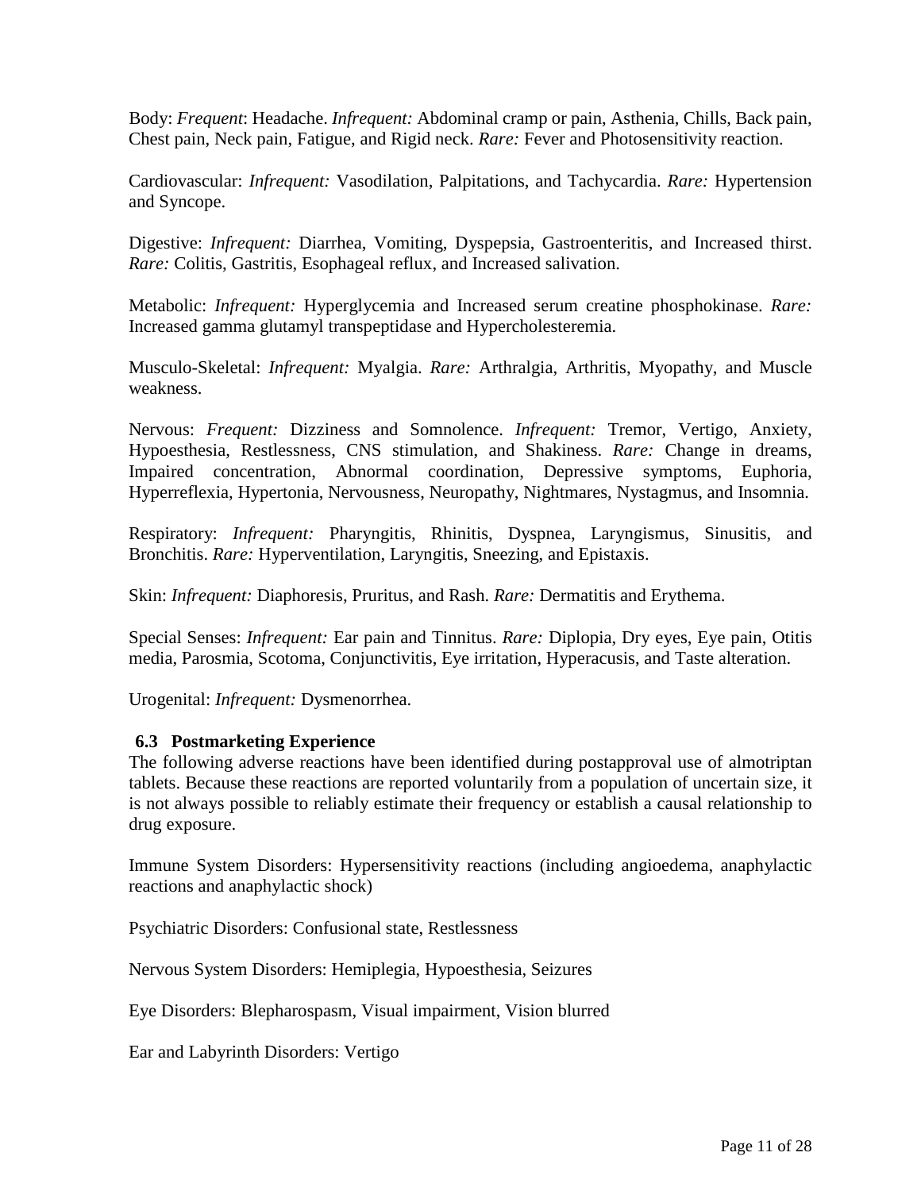<span id="page-10-0"></span>Body: *Frequent*: Headache. *Infrequent:* Abdominal cramp or pain, Asthenia, Chills, Back pain, Chest pain, Neck pain, Fatigue, and Rigid neck. *Rare:* Fever and Photosensitivity reaction.

Cardiovascular: *Infrequent:* Vasodilation, Palpitations, and Tachycardia. *Rare:* Hypertension and Syncope.

Digestive: *Infrequent:* Diarrhea, Vomiting, Dyspepsia, Gastroenteritis, and Increased thirst. *Rare:* Colitis, Gastritis, Esophageal reflux, and Increased salivation.

Metabolic: *Infrequent:* Hyperglycemia and Increased serum creatine phosphokinase. *Rare:* Increased gamma glutamyl transpeptidase and Hypercholesteremia.

Musculo-Skeletal: *Infrequent:* Myalgia. *Rare:* Arthralgia, Arthritis, Myopathy, and Muscle weakness.

Nervous: *Frequent:* Dizziness and Somnolence. *Infrequent:* Tremor, Vertigo, Anxiety, Hypoesthesia, Restlessness, CNS stimulation, and Shakiness. *Rare:* Change in dreams, Impaired concentration, Abnormal coordination, Depressive symptoms, Euphoria, Hyperreflexia, Hypertonia, Nervousness, Neuropathy, Nightmares, Nystagmus, and Insomnia.

Respiratory: *Infrequent:* Pharyngitis, Rhinitis, Dyspnea, Laryngismus, Sinusitis, and Bronchitis. *Rare:* Hyperventilation, Laryngitis, Sneezing, and Epistaxis.

Skin: *Infrequent:* Diaphoresis, Pruritus, and Rash. *Rare:* Dermatitis and Erythema.

Special Senses: *Infrequent:* Ear pain and Tinnitus. *Rare:* Diplopia, Dry eyes, Eye pain, Otitis media, Parosmia, Scotoma, Conjunctivitis, Eye irritation, Hyperacusis, and Taste alteration.

Urogenital: *Infrequent:* Dysmenorrhea.

### **6.3 Postmarketing Experience**

The following adverse reactions have been identified during postapproval use of almotriptan tablets. Because these reactions are reported voluntarily from a population of uncertain size, it is not always possible to reliably estimate their frequency or establish a causal relationship to drug exposure.

Immune System Disorders: Hypersensitivity reactions (including angioedema, anaphylactic reactions and anaphylactic shock)

Psychiatric Disorders: Confusional state, Restlessness

Nervous System Disorders: Hemiplegia, Hypoesthesia, Seizures

Eye Disorders: Blepharospasm, Visual impairment, Vision blurred

Ear and Labyrinth Disorders: Vertigo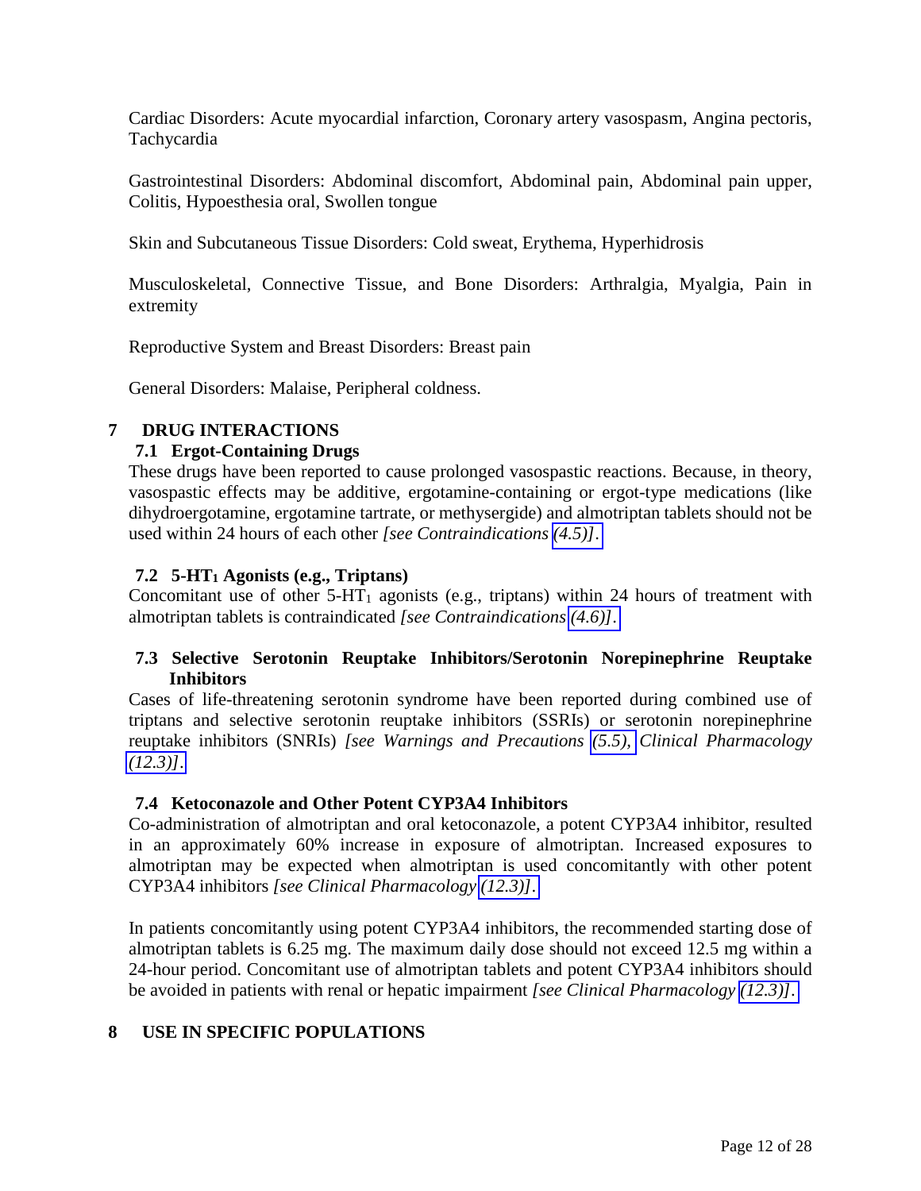<span id="page-11-0"></span>Cardiac Disorders: Acute myocardial infarction, Coronary artery vasospasm, Angina pectoris, Tachycardia

Gastrointestinal Disorders: Abdominal discomfort, Abdominal pain, Abdominal pain upper, Colitis, Hypoesthesia oral, Swollen tongue

Skin and Subcutaneous Tissue Disorders: Cold sweat, Erythema, Hyperhidrosis

Musculoskeletal, Connective Tissue, and Bone Disorders: Arthralgia, Myalgia, Pain in extremity

Reproductive System and Breast Disorders: Breast pain

General Disorders: Malaise, Peripheral coldness.

### **7 DRUG INTERACTIONS**

### **7.1 Ergot-Containing Drugs**

These drugs have been reported to cause prolonged vasospastic reactions. Because, in theory, vasospastic effects may be additive, ergotamine-containing or ergot-type medications (like dihydroergotamine, ergotamine tartrate, or methysergide) and almotriptan tablets should not be used within 24 hours of each other *[see Contraindications [\(4.5\)\]](#page-3-0)*.

### **7.2 5-HT1 Agonists (e.g., Triptans)**

Concomitant use of other  $5-HT_1$  agonists (e.g., triptans) within 24 hours of treatment with almotriptan tablets is contraindicated *[see Contraindications [\(4.6\)\]](#page-3-0)*.

### **7.3 Selective Serotonin Reuptake Inhibitors/Serotonin Norepinephrine Reuptake Inhibitors**

Cases of life-threatening serotonin syndrome have been reported during combined use of triptans and selective serotonin reuptake inhibitors (SSRIs) or serotonin norepinephrine reuptake inhibitors (SNRIs) *[see Warnings and Precautions [\(5.5\),](#page-6-0) Clinical Pharmacology [\(12.3\)\]](#page-14-0)*.

#### **7.4 Ketoconazole and Other Potent CYP3A4 Inhibitors**

Co-administration of almotriptan and oral ketoconazole, a potent CYP3A4 inhibitor, resulted in an approximately 60% increase in exposure of almotriptan. Increased exposures to almotriptan may be expected when almotriptan is used concomitantly with other potent CYP3A4 inhibitors *[see Clinical Pharmacology [\(12.3\)\]](#page-14-0)*.

In patients concomitantly using potent CYP3A4 inhibitors, the recommended starting dose of almotriptan tablets is 6.25 mg. The maximum daily dose should not exceed 12.5 mg within a 24-hour period. Concomitant use of almotriptan tablets and potent CYP3A4 inhibitors should be avoided in patients with renal or hepatic impairment *[see Clinical Pharmacology [\(12.3\)\]](#page-14-0)*.

# **8 USE IN SPECIFIC POPULATIONS**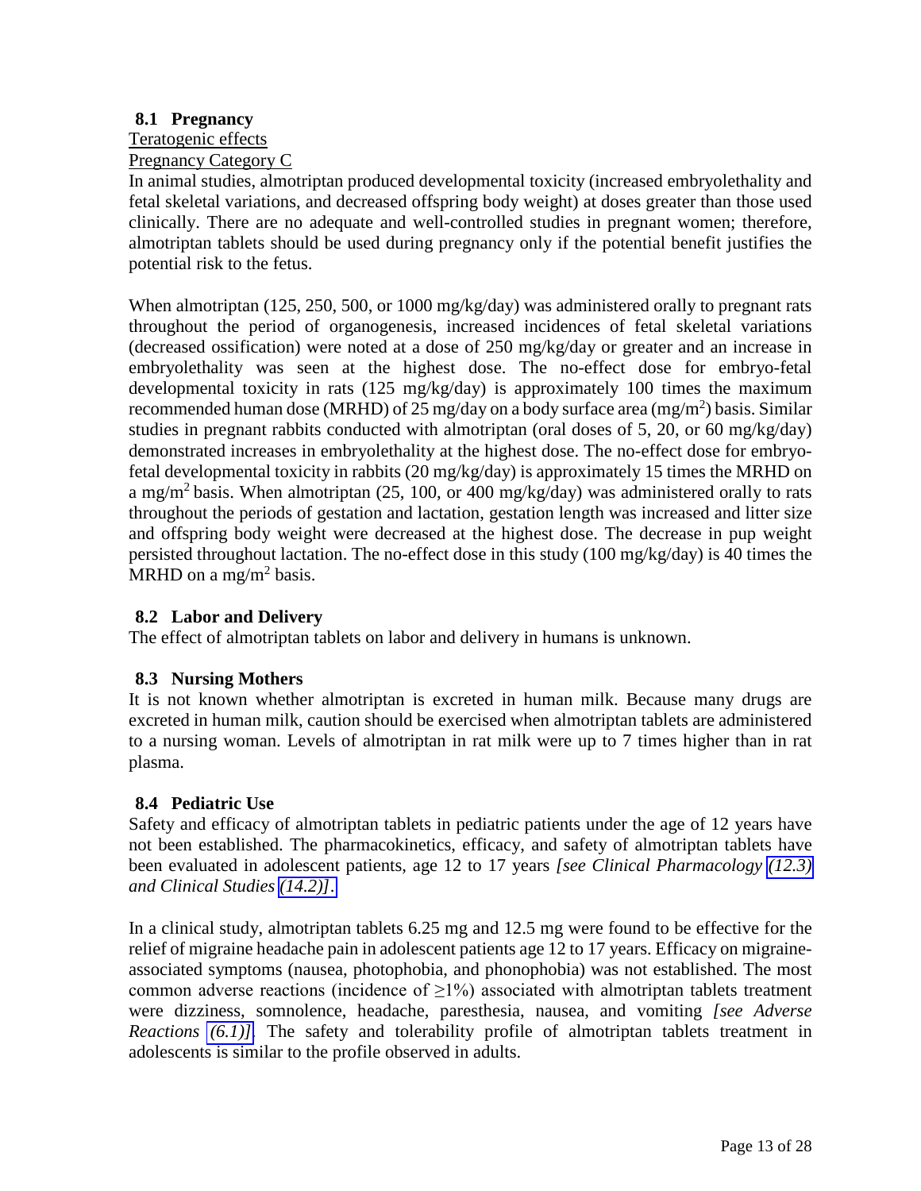# <span id="page-12-0"></span>**8.1 Pregnancy**

# Teratogenic effects

Pregnancy Category C

In animal studies, almotriptan produced developmental toxicity (increased embryolethality and fetal skeletal variations, and decreased offspring body weight) at doses greater than those used clinically. There are no adequate and well-controlled studies in pregnant women; therefore, almotriptan tablets should be used during pregnancy only if the potential benefit justifies the potential risk to the fetus.

When almotriptan (125, 250, 500, or 1000 mg/kg/day) was administered orally to pregnant rats throughout the period of organogenesis, increased incidences of fetal skeletal variations (decreased ossification) were noted at a dose of 250 mg/kg/day or greater and an increase in embryolethality was seen at the highest dose. The no-effect dose for embryo-fetal developmental toxicity in rats (125 mg/kg/day) is approximately 100 times the maximum recommended human dose (MRHD) of 25 mg/day on a body surface area (mg/m<sup>2</sup>) basis. Similar studies in pregnant rabbits conducted with almotriptan (oral doses of 5, 20, or 60 mg/kg/day) demonstrated increases in embryolethality at the highest dose. The no-effect dose for embryofetal developmental toxicity in rabbits (20 mg/kg/day) is approximately 15 times the MRHD on a mg/m2 basis. When almotriptan (25, 100, or 400 mg/kg/day) was administered orally to rats throughout the periods of gestation and lactation, gestation length was increased and litter size and offspring body weight were decreased at the highest dose. The decrease in pup weight persisted throughout lactation. The no-effect dose in this study (100 mg/kg/day) is 40 times the MRHD on a mg/m<sup>2</sup> basis.

### **8.2 Labor and Delivery**

The effect of almotriptan tablets on labor and delivery in humans is unknown.

### **8.3 Nursing Mothers**

It is not known whether almotriptan is excreted in human milk. Because many drugs are excreted in human milk, caution should be exercised when almotriptan tablets are administered to a nursing woman. Levels of almotriptan in rat milk were up to 7 times higher than in rat plasma.

### **8.4 Pediatric Use**

Safety and efficacy of almotriptan tablets in pediatric patients under the age of 12 years have not been established. The pharmacokinetics, efficacy, and safety of almotriptan tablets have been evaluated in adolescent patients, age 12 to 17 years *[see Clinical Pharmacology [\(12.3\)](#page-14-0)  and Clinical Studies [\(14.2\)\]](#page-19-0)*.

In a clinical study, almotriptan tablets 6.25 mg and 12.5 mg were found to be effective for the relief of migraine headache pain in adolescent patients age 12 to 17 years. Efficacy on migraineassociated symptoms (nausea, photophobia, and phonophobia) was not established. The most common adverse reactions (incidence of  $\geq$ 1%) associated with almotriptan tablets treatment were dizziness, somnolence, headache, paresthesia, nausea, and vomiting *[see Adverse Reactions [\(6.1\)\].](#page-8-0)* The safety and tolerability profile of almotriptan tablets treatment in adolescents is similar to the profile observed in adults.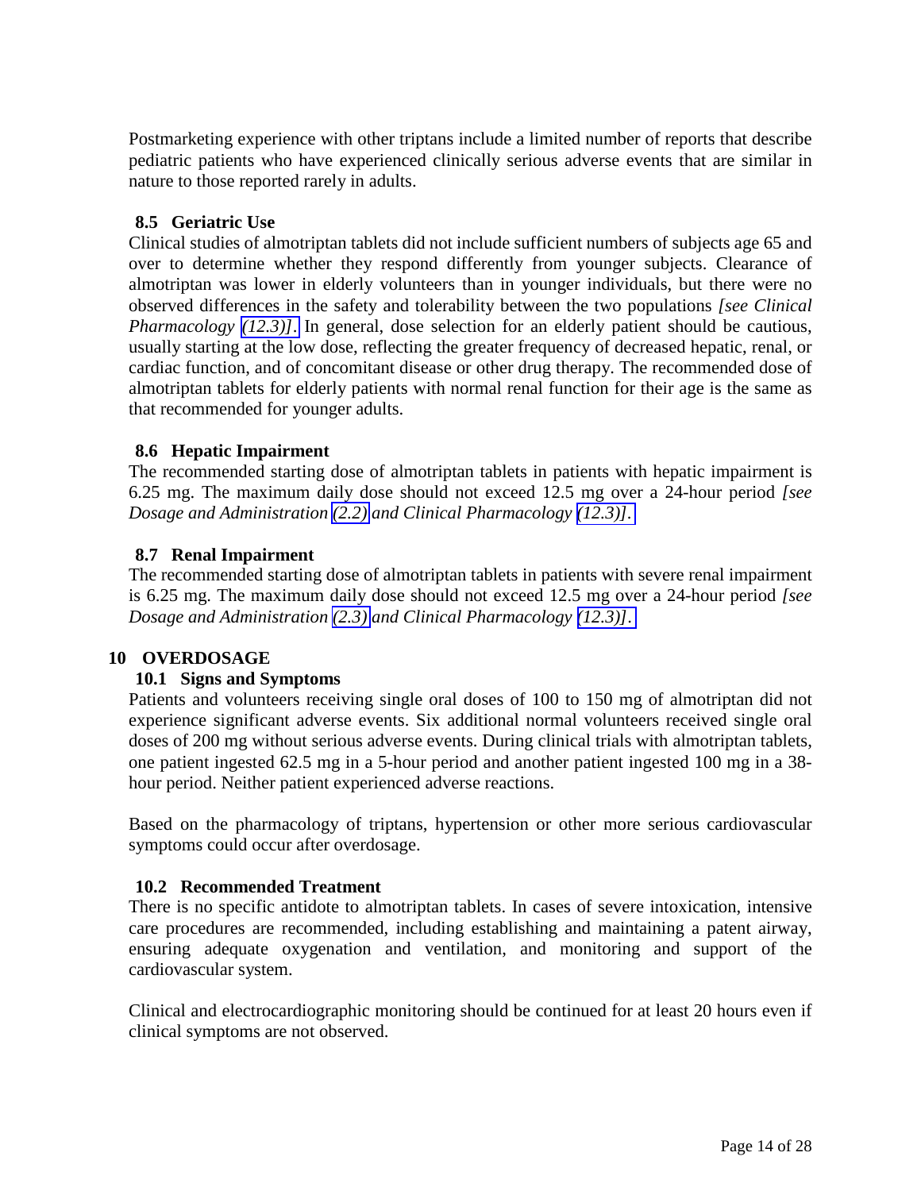<span id="page-13-0"></span>Postmarketing experience with other triptans include a limited number of reports that describe pediatric patients who have experienced clinically serious adverse events that are similar in nature to those reported rarely in adults.

# **8.5 Geriatric Use**

Clinical studies of almotriptan tablets did not include sufficient numbers of subjects age 65 and over to determine whether they respond differently from younger subjects. Clearance of almotriptan was lower in elderly volunteers than in younger individuals, but there were no observed differences in the safety and tolerability between the two populations *[see Clinical Pharmacology [\(12.3\)\]](#page-14-0)*. In general, dose selection for an elderly patient should be cautious, usually starting at the low dose, reflecting the greater frequency of decreased hepatic, renal, or cardiac function, and of concomitant disease or other drug therapy. The recommended dose of almotriptan tablets for elderly patients with normal renal function for their age is the same as that recommended for younger adults.

# **8.6 Hepatic Impairment**

The recommended starting dose of almotriptan tablets in patients with hepatic impairment is 6.25 mg. The maximum daily dose should not exceed 12.5 mg over a 24-hour period *[see Dosage and Administration [\(2.2\)](#page-2-0) and Clinical Pharmacology [\(12.3\)\].](#page-14-0)* 

# **8.7 Renal Impairment**

The recommended starting dose of almotriptan tablets in patients with severe renal impairment is 6.25 mg. The maximum daily dose should not exceed 12.5 mg over a 24-hour period *[see Dosage and Administration [\(2.3\)](#page-3-0) and Clinical Pharmacology [\(12.3\)\]](#page-14-0)*.

### **10 OVERDOSAGE**

### **10.1 Signs and Symptoms**

Patients and volunteers receiving single oral doses of 100 to 150 mg of almotriptan did not experience significant adverse events. Six additional normal volunteers received single oral doses of 200 mg without serious adverse events. During clinical trials with almotriptan tablets, one patient ingested 62.5 mg in a 5-hour period and another patient ingested 100 mg in a 38 hour period. Neither patient experienced adverse reactions.

Based on the pharmacology of triptans, hypertension or other more serious cardiovascular symptoms could occur after overdosage.

### **10.2 Recommended Treatment**

There is no specific antidote to almotriptan tablets. In cases of severe intoxication, intensive care procedures are recommended, including establishing and maintaining a patent airway, ensuring adequate oxygenation and ventilation, and monitoring and support of the cardiovascular system.

Clinical and electrocardiographic monitoring should be continued for at least 20 hours even if clinical symptoms are not observed.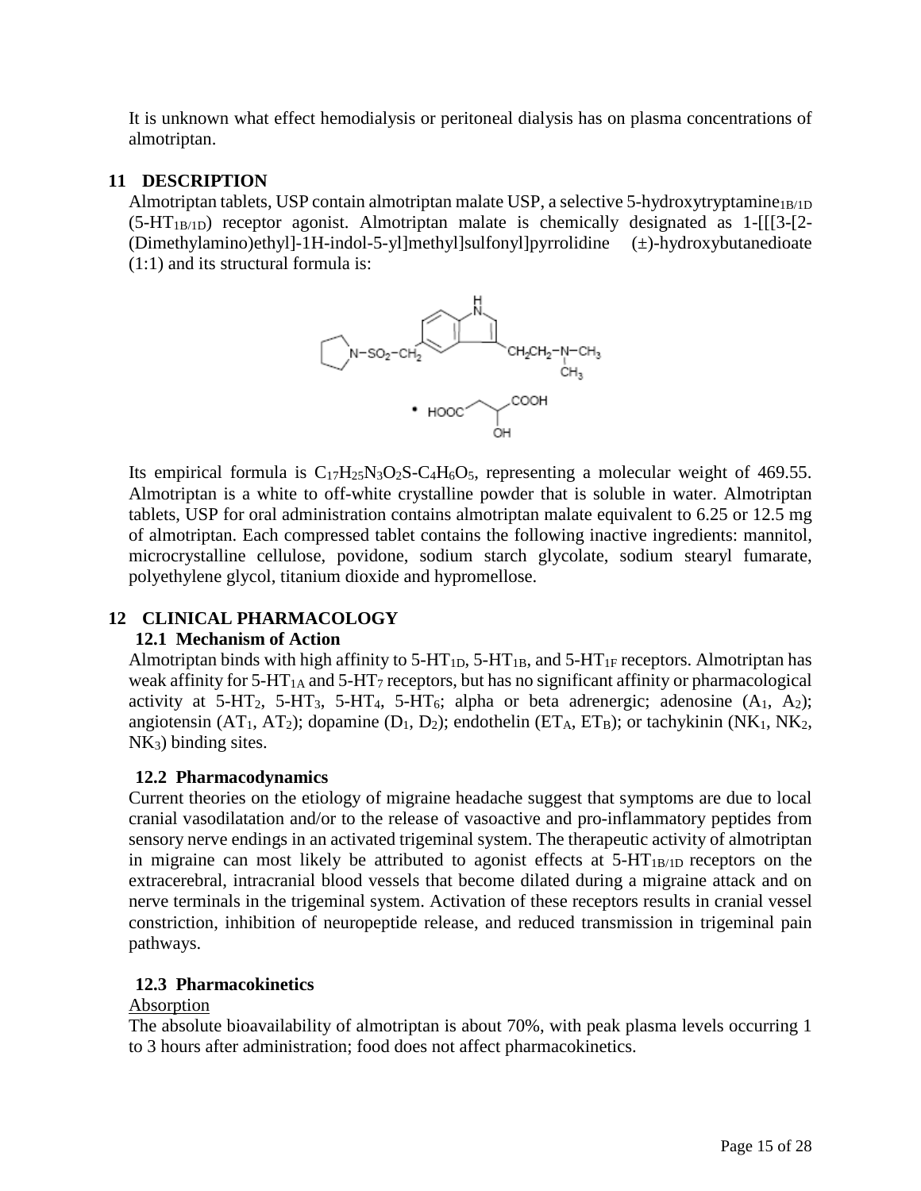It is unknown what effect hemodialysis or peritoneal dialysis has on plasma concentrations of almotriptan.

### **11 DESCRIPTION**

Almotriptan tablets, USP contain almotriptan malate USP, a selective 5-hydroxytryptamine<sub>1B/1D</sub> (5-HT1B/1D) receptor agonist. Almotriptan malate is chemically designated as 1-[[[3-[2- (Dimethylamino)ethyl]-1H-indol-5-yl]methyl]sulfonyl]pyrrolidine (±)-hydroxybutanedioate (1:1) and its structural formula is:

<span id="page-14-0"></span>

Its empirical formula is  $C_{17}H_{25}N_3O_2S-C_4H_6O_5$ , representing a molecular weight of 469.55. Almotriptan is a white to off-white crystalline powder that is soluble in water. Almotriptan tablets, USP for oral administration contains almotriptan malate equivalent to 6.25 or 12.5 mg of almotriptan. Each compressed tablet contains the following inactive ingredients: mannitol, microcrystalline cellulose, povidone, sodium starch glycolate, sodium stearyl fumarate, polyethylene glycol, titanium dioxide and hypromellose.

# **12 CLINICAL PHARMACOLOGY**

### **12.1 Mechanism of Action**

Almotriptan binds with high affinity to 5-HT<sub>1D</sub>, 5-HT<sub>1B</sub>, and 5-HT<sub>1F</sub> receptors. Almotriptan has weak affinity for  $5-HT_{1A}$  and  $5-HT_7$  receptors, but has no significant affinity or pharmacological activity at 5-HT<sub>2</sub>, 5-HT<sub>3</sub>, 5-HT<sub>4</sub>, 5-HT<sub>6</sub>; alpha or beta adrenergic; adenosine  $(A_1, A_2)$ ; angiotensin (AT<sub>1</sub>, AT<sub>2</sub>); dopamine (D<sub>1</sub>, D<sub>2</sub>); endothelin (ET<sub>A</sub>, ET<sub>B</sub>); or tachykinin (NK<sub>1</sub>, NK<sub>2</sub>,  $NK<sub>3</sub>$ ) binding sites.

### **12.2 Pharmacodynamics**

Current theories on the etiology of migraine headache suggest that symptoms are due to local cranial vasodilatation and/or to the release of vasoactive and pro-inflammatory peptides from sensory nerve endings in an activated trigeminal system. The therapeutic activity of almotriptan in migraine can most likely be attributed to agonist effects at  $5-HT_{1B/1D}$  receptors on the extracerebral, intracranial blood vessels that become dilated during a migraine attack and on nerve terminals in the trigeminal system. Activation of these receptors results in cranial vessel constriction, inhibition of neuropeptide release, and reduced transmission in trigeminal pain pathways.

### **12.3 Pharmacokinetics**

### Absorption

The absolute bioavailability of almotriptan is about 70%, with peak plasma levels occurring 1 to 3 hours after administration; food does not affect pharmacokinetics.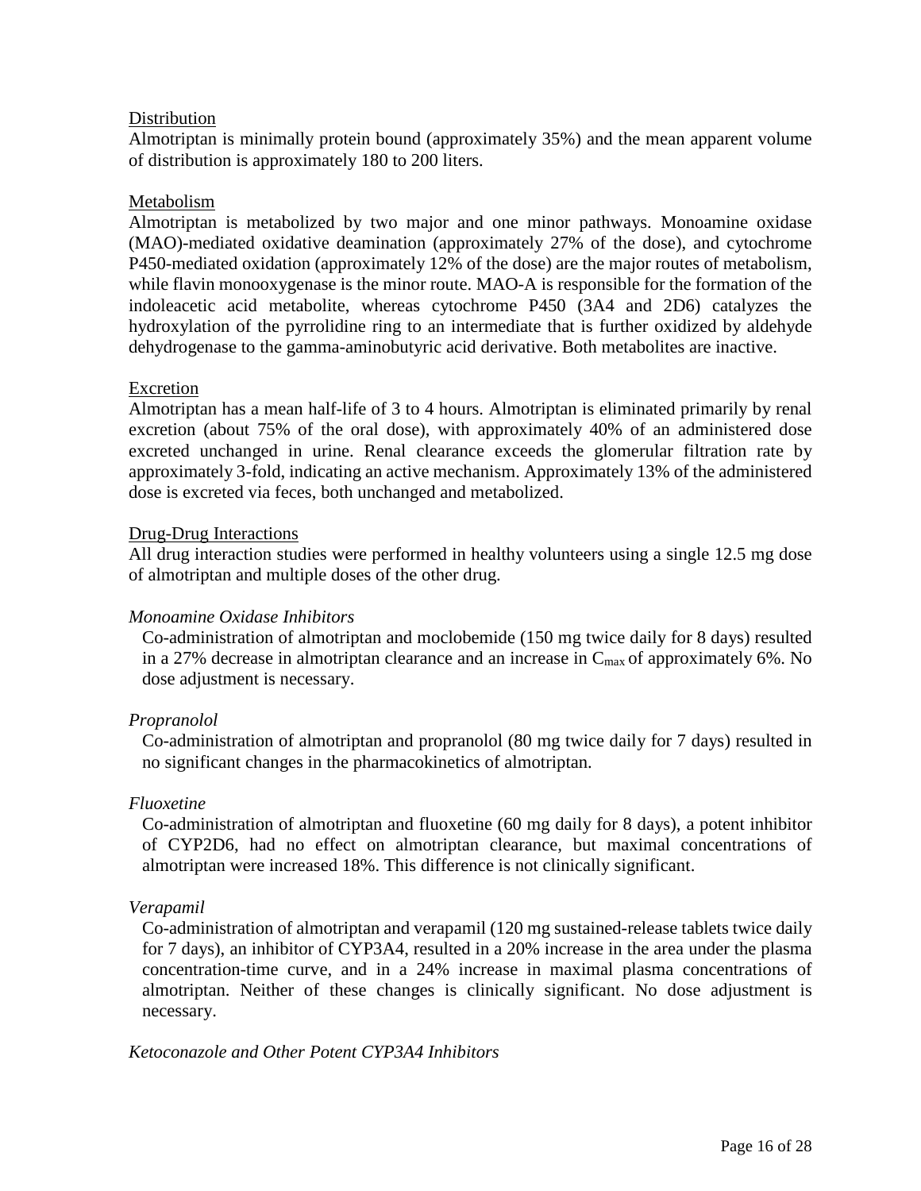# **Distribution**

Almotriptan is minimally protein bound (approximately 35%) and the mean apparent volume of distribution is approximately 180 to 200 liters.

# Metabolism

Almotriptan is metabolized by two major and one minor pathways. Monoamine oxidase (MAO)-mediated oxidative deamination (approximately 27% of the dose), and cytochrome P450-mediated oxidation (approximately 12% of the dose) are the major routes of metabolism, while flavin monooxygenase is the minor route. MAO-A is responsible for the formation of the indoleacetic acid metabolite, whereas cytochrome P450 (3A4 and 2D6) catalyzes the hydroxylation of the pyrrolidine ring to an intermediate that is further oxidized by aldehyde dehydrogenase to the gamma-aminobutyric acid derivative. Both metabolites are inactive.

### Excretion

Almotriptan has a mean half-life of 3 to 4 hours. Almotriptan is eliminated primarily by renal excretion (about 75% of the oral dose), with approximately 40% of an administered dose excreted unchanged in urine. Renal clearance exceeds the glomerular filtration rate by approximately 3-fold, indicating an active mechanism. Approximately 13% of the administered dose is excreted via feces, both unchanged and metabolized.

#### Drug-Drug Interactions

All drug interaction studies were performed in healthy volunteers using a single 12.5 mg dose of almotriptan and multiple doses of the other drug.

### *Monoamine Oxidase Inhibitors*

Co-administration of almotriptan and moclobemide (150 mg twice daily for 8 days) resulted in a 27% decrease in almotriptan clearance and an increase in  $C_{\text{max}}$  of approximately 6%. No dose adjustment is necessary.

### *Propranolol*

Co-administration of almotriptan and propranolol (80 mg twice daily for 7 days) resulted in no significant changes in the pharmacokinetics of almotriptan.

### *Fluoxetine*

Co-administration of almotriptan and fluoxetine (60 mg daily for 8 days), a potent inhibitor of CYP2D6, had no effect on almotriptan clearance, but maximal concentrations of almotriptan were increased 18%. This difference is not clinically significant.

### *Verapamil*

Co-administration of almotriptan and verapamil (120 mg sustained-release tablets twice daily for 7 days), an inhibitor of CYP3A4, resulted in a 20% increase in the area under the plasma concentration-time curve, and in a 24% increase in maximal plasma concentrations of almotriptan. Neither of these changes is clinically significant. No dose adjustment is necessary.

# *Ketoconazole and Other Potent CYP3A4 Inhibitors*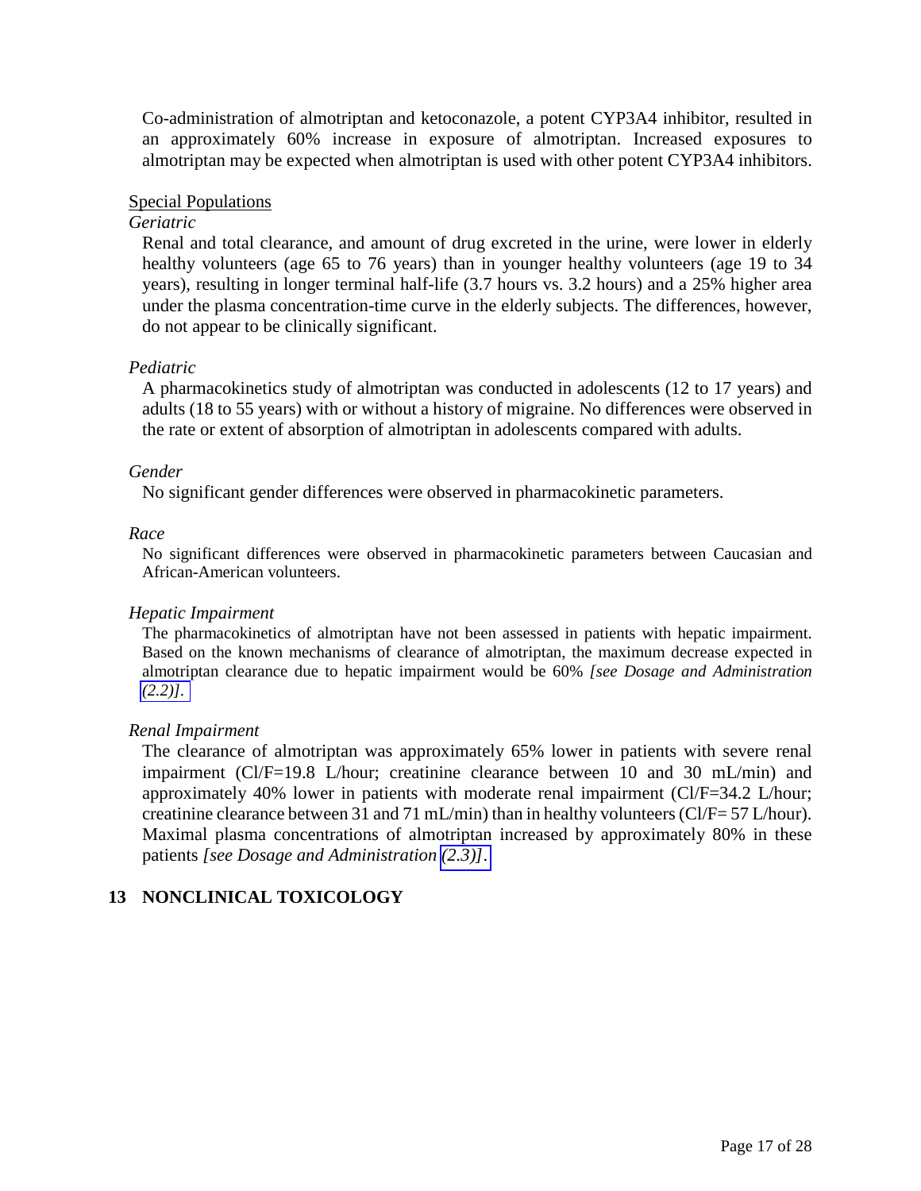<span id="page-16-0"></span>Co-administration of almotriptan and ketoconazole, a potent CYP3A4 inhibitor, resulted in an approximately 60% increase in exposure of almotriptan. Increased exposures to almotriptan may be expected when almotriptan is used with other potent CYP3A4 inhibitors.

#### Special Populations

#### *Geriatric*

Renal and total clearance, and amount of drug excreted in the urine, were lower in elderly healthy volunteers (age 65 to 76 years) than in younger healthy volunteers (age 19 to 34 years), resulting in longer terminal half-life (3.7 hours vs. 3.2 hours) and a 25% higher area under the plasma concentration-time curve in the elderly subjects. The differences, however, do not appear to be clinically significant.

#### *Pediatric*

A pharmacokinetics study of almotriptan was conducted in adolescents (12 to 17 years) and adults (18 to 55 years) with or without a history of migraine. No differences were observed in the rate or extent of absorption of almotriptan in adolescents compared with adults.

#### *Gender*

No significant gender differences were observed in pharmacokinetic parameters.

#### *Race*

No significant differences were observed in pharmacokinetic parameters between Caucasian and African-American volunteers.

### *Hepatic Impairment*

The pharmacokinetics of almotriptan have not been assessed in patients with hepatic impairment. Based on the known mechanisms of clearance of almotriptan, the maximum decrease expected in almotriptan clearance due to hepatic impairment would be 60% *[see Dosage and Administration [\(2.2\)\].](#page-2-0)* 

### *Renal Impairment*

The clearance of almotriptan was approximately 65% lower in patients with severe renal impairment (Cl/F=19.8 L/hour; creatinine clearance between 10 and 30 mL/min) and approximately 40% lower in patients with moderate renal impairment (Cl/F=34.2 L/hour; creatinine clearance between 31 and 71 mL/min) than in healthy volunteers (Cl/F= 57 L/hour). Maximal plasma concentrations of almotriptan increased by approximately 80% in these patients *[see Dosage and Administration [\(2.3\)\]](#page-3-0)*.

# **13 NONCLINICAL TOXICOLOGY**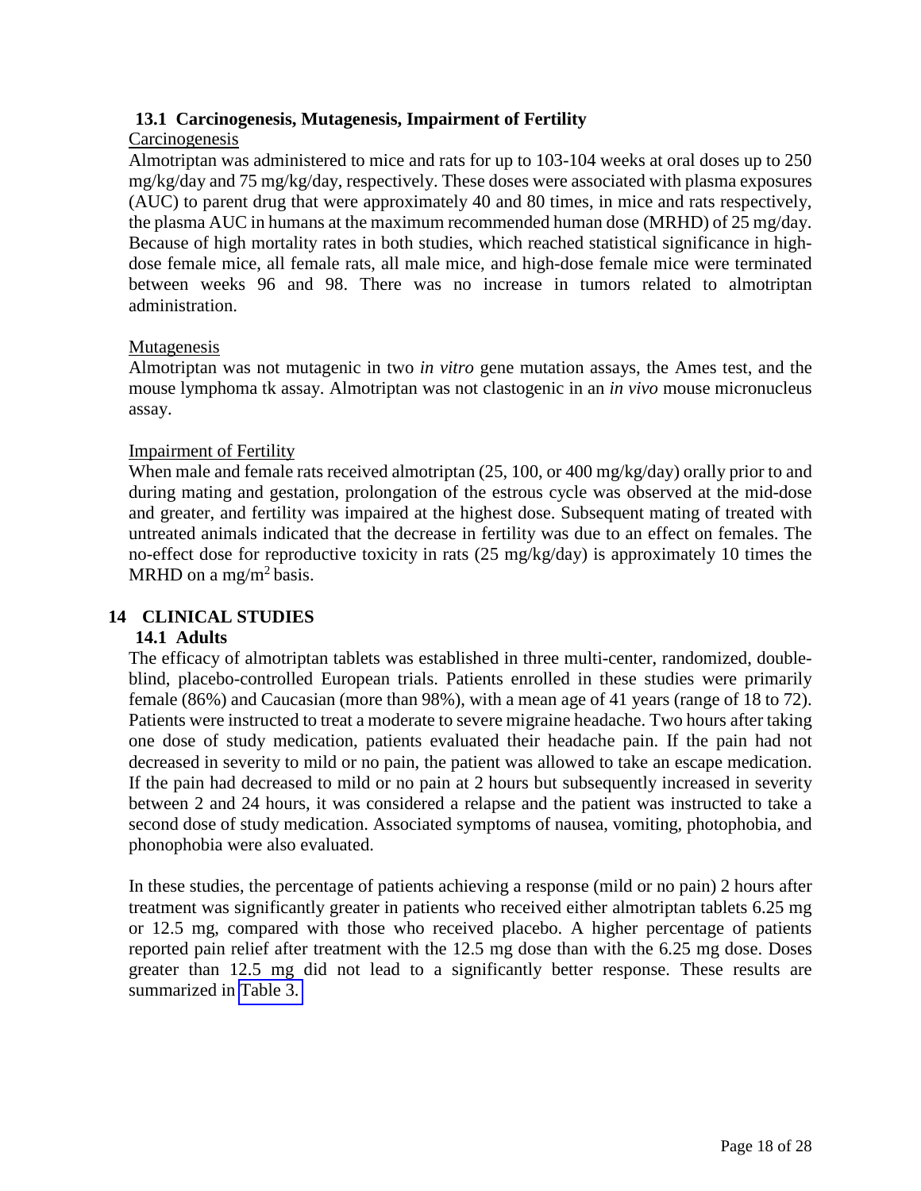# <span id="page-17-0"></span>**13.1 Carcinogenesis, Mutagenesis, Impairment of Fertility**

### **Carcinogenesis**

Almotriptan was administered to mice and rats for up to 103-104 weeks at oral doses up to 250 mg/kg/day and 75 mg/kg/day, respectively. These doses were associated with plasma exposures (AUC) to parent drug that were approximately 40 and 80 times, in mice and rats respectively, the plasma AUC in humans at the maximum recommended human dose (MRHD) of 25 mg/day. Because of high mortality rates in both studies, which reached statistical significance in highdose female mice, all female rats, all male mice, and high-dose female mice were terminated between weeks 96 and 98. There was no increase in tumors related to almotriptan administration.

### **Mutagenesis**

Almotriptan was not mutagenic in two *in vitro* gene mutation assays, the Ames test, and the mouse lymphoma tk assay. Almotriptan was not clastogenic in an *in vivo* mouse micronucleus assay.

#### Impairment of Fertility

When male and female rats received almotriptan (25, 100, or 400 mg/kg/day) orally prior to and during mating and gestation, prolongation of the estrous cycle was observed at the mid-dose and greater, and fertility was impaired at the highest dose. Subsequent mating of treated with untreated animals indicated that the decrease in fertility was due to an effect on females. The no-effect dose for reproductive toxicity in rats (25 mg/kg/day) is approximately 10 times the MRHD on a mg/m<sup>2</sup> basis.

### **14 CLINICAL STUDIES**

### **14.1 Adults**

The efficacy of almotriptan tablets was established in three multi-center, randomized, doubleblind, placebo-controlled European trials. Patients enrolled in these studies were primarily female (86%) and Caucasian (more than 98%), with a mean age of 41 years (range of 18 to 72). Patients were instructed to treat a moderate to severe migraine headache. Two hours after taking one dose of study medication, patients evaluated their headache pain. If the pain had not decreased in severity to mild or no pain, the patient was allowed to take an escape medication. If the pain had decreased to mild or no pain at 2 hours but subsequently increased in severity between 2 and 24 hours, it was considered a relapse and the patient was instructed to take a second dose of study medication. Associated symptoms of nausea, vomiting, photophobia, and phonophobia were also evaluated.

In these studies, the percentage of patients achieving a response (mild or no pain) 2 hours after treatment was significantly greater in patients who received either almotriptan tablets 6.25 mg or 12.5 mg, compared with those who received placebo. A higher percentage of patients reported pain relief after treatment with the 12.5 mg dose than with the 6.25 mg dose. Doses greater than 12.5 mg did not lead to a significantly better response. These results are summarized in [Table 3.](#page-18-0)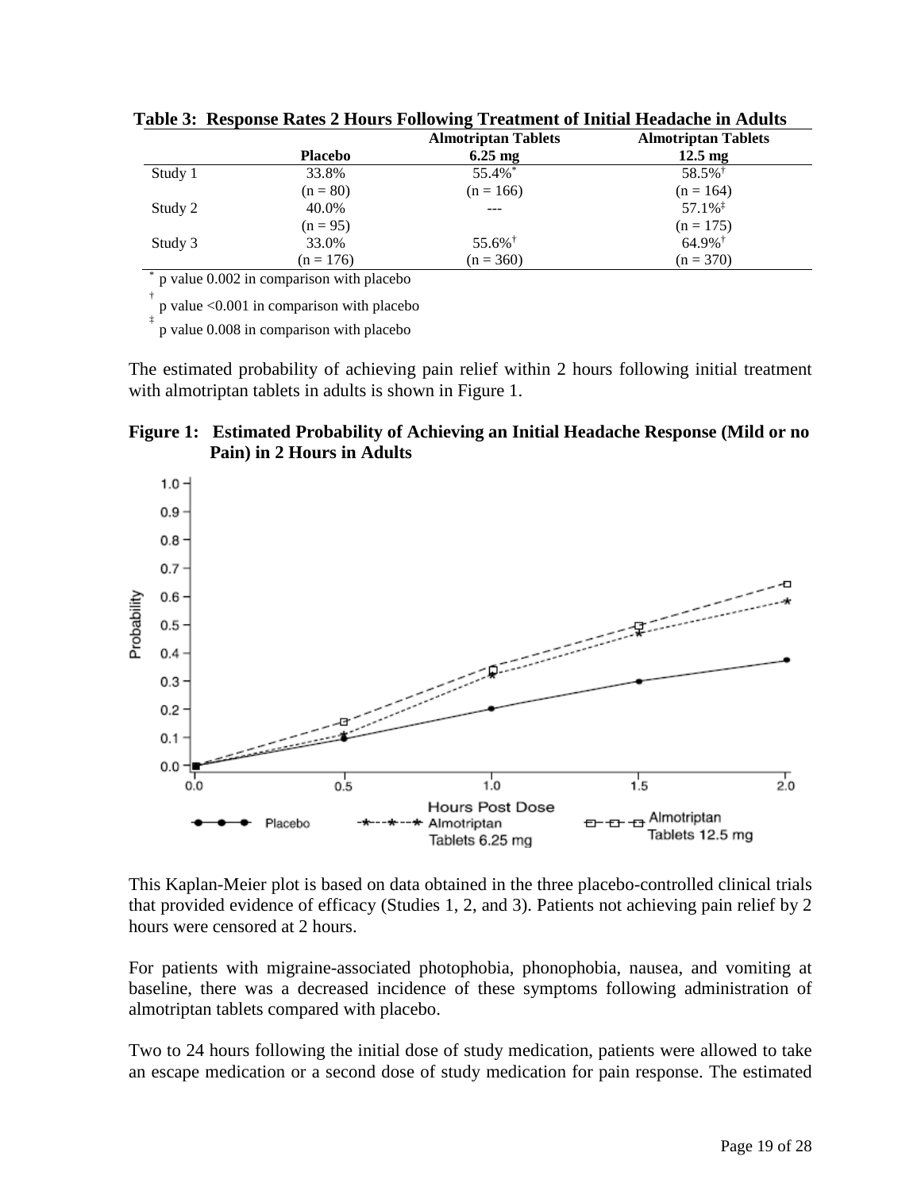|         | <b>Placebo</b> | <b>Almotriptan Tablets</b><br>$6.25 \text{ mg}$ | <b>Almotriptan Tablets</b><br>$12.5 \text{ mg}$ |
|---------|----------------|-------------------------------------------------|-------------------------------------------------|
| Study 1 | 33.8%          | 55.4%*                                          | 58.5% <sup>†</sup>                              |
|         | $(n = 80)$     | $(n = 166)$                                     | $(n = 164)$                                     |
| Study 2 | 40.0%          |                                                 | 57.1% <sup><math>\ddagger</math></sup>          |
|         | $(n = 95)$     |                                                 | $(n = 175)$                                     |
| Study 3 | 33.0%          | $55.6\%$ <sup>†</sup>                           | 64.9% $^{\dagger}$                              |
|         | $(n = 176)$    | $(n = 360)$                                     | $(n = 370)$                                     |

<span id="page-18-0"></span>**Table 3: Response Rates 2 Hours Following Treatment of Initial Headache in Adults** 

p value 0.002 in comparison with placebo

† p value <0.001 in comparison with placebo

‡ p value 0.008 in comparison with placebo

The estimated probability of achieving pain relief within 2 hours following initial treatment with almotriptan tablets in adults is shown in Figure 1.

# **Figure 1: Estimated Probability of Achieving an Initial Headache Response (Mild or no Pain) in 2 Hours in Adults**



This Kaplan-Meier plot is based on data obtained in the three placebo-controlled clinical trials that provided evidence of efficacy (Studies 1, 2, and 3). Patients not achieving pain relief by 2 hours were censored at 2 hours.

For patients with migraine-associated photophobia, phonophobia, nausea, and vomiting at baseline, there was a decreased incidence of these symptoms following administration of almotriptan tablets compared with placebo.

Two to 24 hours following the initial dose of study medication, patients were allowed to take an escape medication or a second dose of study medication for pain response. The estimated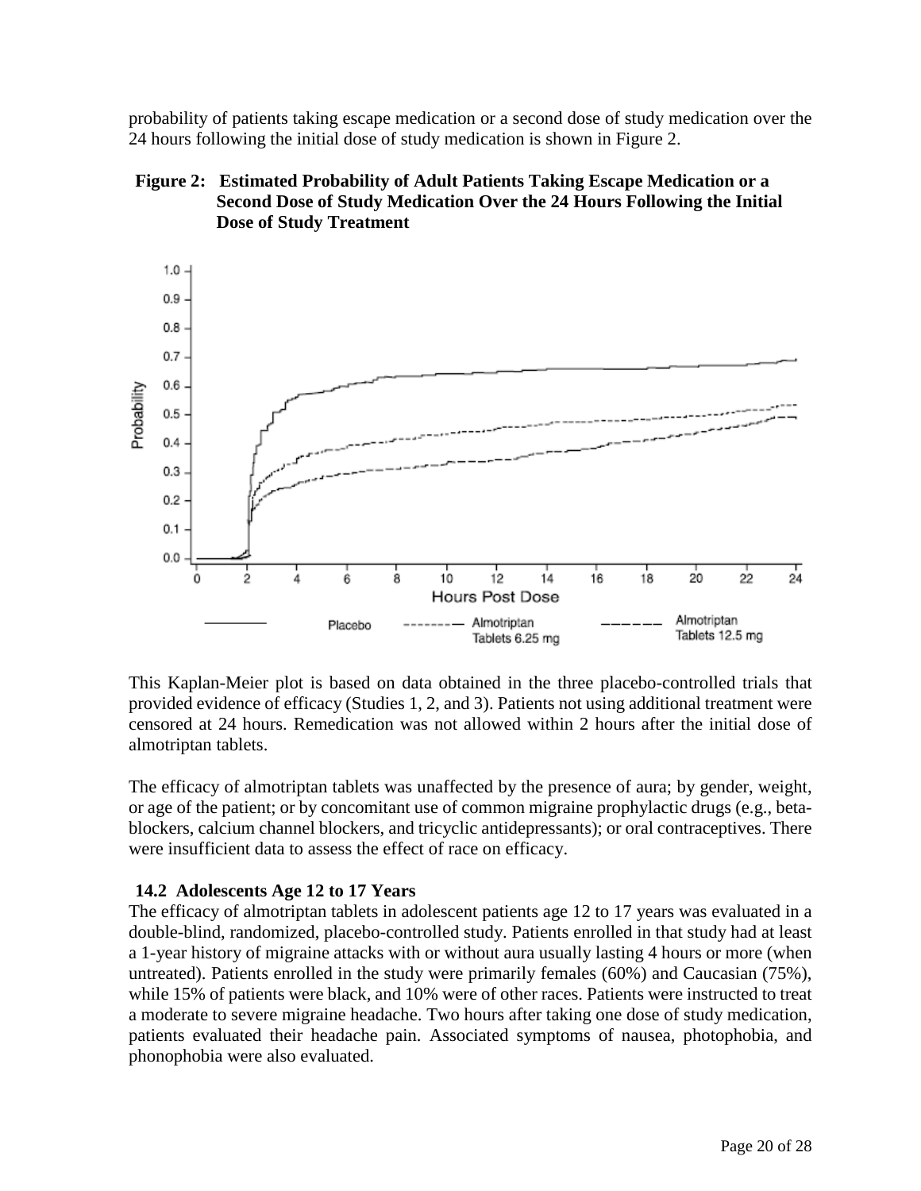<span id="page-19-0"></span>probability of patients taking escape medication or a second dose of study medication over the 24 hours following the initial dose of study medication is shown in Figure 2.





This Kaplan-Meier plot is based on data obtained in the three placebo-controlled trials that provided evidence of efficacy (Studies 1, 2, and 3). Patients not using additional treatment were censored at 24 hours. Remedication was not allowed within 2 hours after the initial dose of almotriptan tablets.

The efficacy of almotriptan tablets was unaffected by the presence of aura; by gender, weight, or age of the patient; or by concomitant use of common migraine prophylactic drugs (e.g., betablockers, calcium channel blockers, and tricyclic antidepressants); or oral contraceptives. There were insufficient data to assess the effect of race on efficacy.

### **14.2 Adolescents Age 12 to 17 Years**

The efficacy of almotriptan tablets in adolescent patients age 12 to 17 years was evaluated in a double-blind, randomized, placebo-controlled study. Patients enrolled in that study had at least a 1-year history of migraine attacks with or without aura usually lasting 4 hours or more (when untreated). Patients enrolled in the study were primarily females (60%) and Caucasian (75%), while 15% of patients were black, and 10% were of other races. Patients were instructed to treat a moderate to severe migraine headache. Two hours after taking one dose of study medication, patients evaluated their headache pain. Associated symptoms of nausea, photophobia, and phonophobia were also evaluated.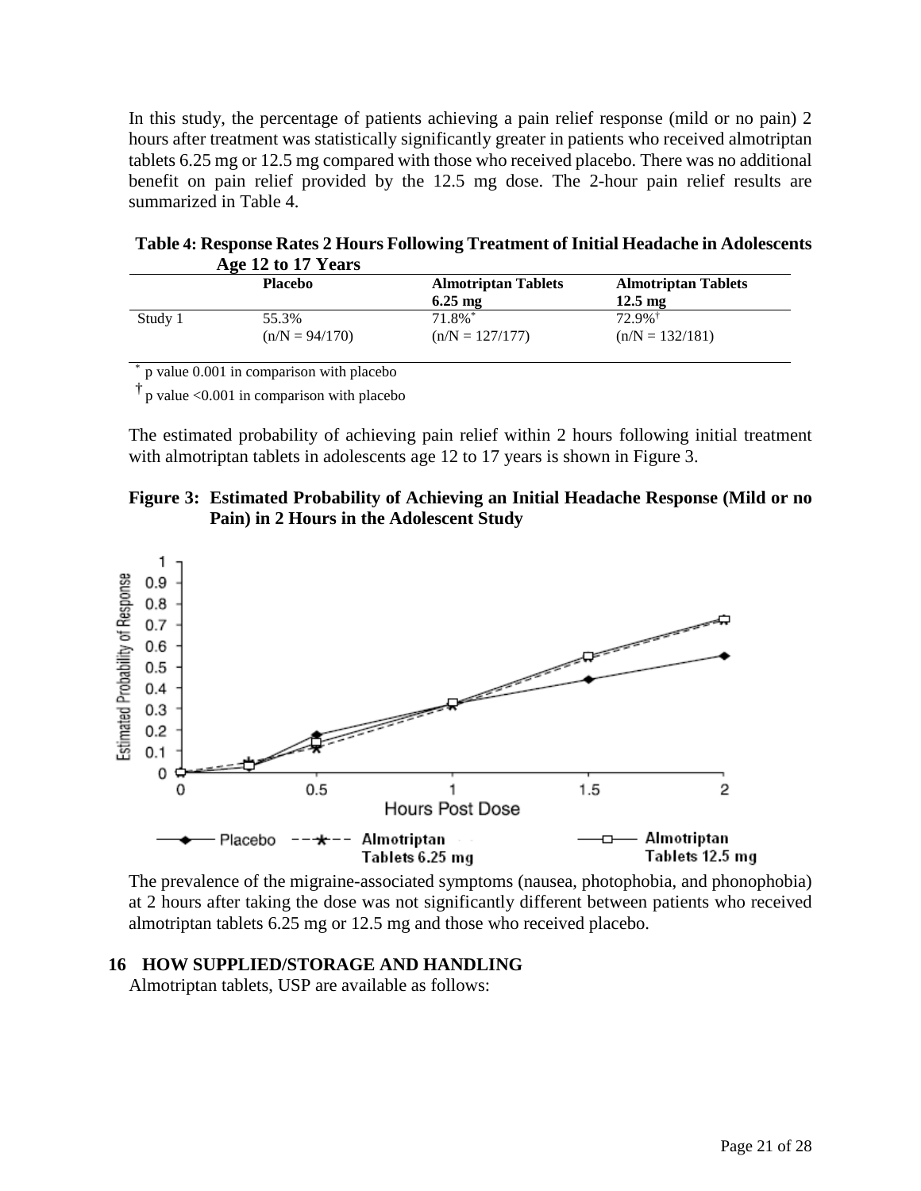<span id="page-20-0"></span>In this study, the percentage of patients achieving a pain relief response (mild or no pain) 2 hours after treatment was statistically significantly greater in patients who received almotriptan tablets 6.25 mg or 12.5 mg compared with those who received placebo. There was no additional benefit on pain relief provided by the 12.5 mg dose. The 2-hour pain relief results are summarized in Table 4.

| <b>Placebo</b> |                  | <b>Almotriptan Tablets</b> | <b>Almotriptan Tablets</b> |
|----------------|------------------|----------------------------|----------------------------|
|                |                  | $6.25 \text{ mg}$          | $12.5 \text{ mg}$          |
| Study 1        | 55.3%            | $71.8\%$ <sup>*</sup>      | $72.9\%$ <sup>†</sup>      |
|                | $(n/N = 94/170)$ | $(n/N = 127/177)$          | $(n/N = 132/181)$          |

**Table 4: Response Rates 2 Hours Following Treatment of Initial Headache in Adolescents Age 12 to 17 Years**

p value 0.001 in comparison with placebo

 $\uparrow$  p value <0.001 in comparison with placebo

The estimated probability of achieving pain relief within 2 hours following initial treatment with almotriptan tablets in adolescents age 12 to 17 years is shown in Figure 3.





The prevalence of the migraine-associated symptoms (nausea, photophobia, and phonophobia) at 2 hours after taking the dose was not significantly different between patients who received almotriptan tablets 6.25 mg or 12.5 mg and those who received placebo.

### **16 HOW SUPPLIED/STORAGE AND HANDLING**

Almotriptan tablets, USP are available as follows: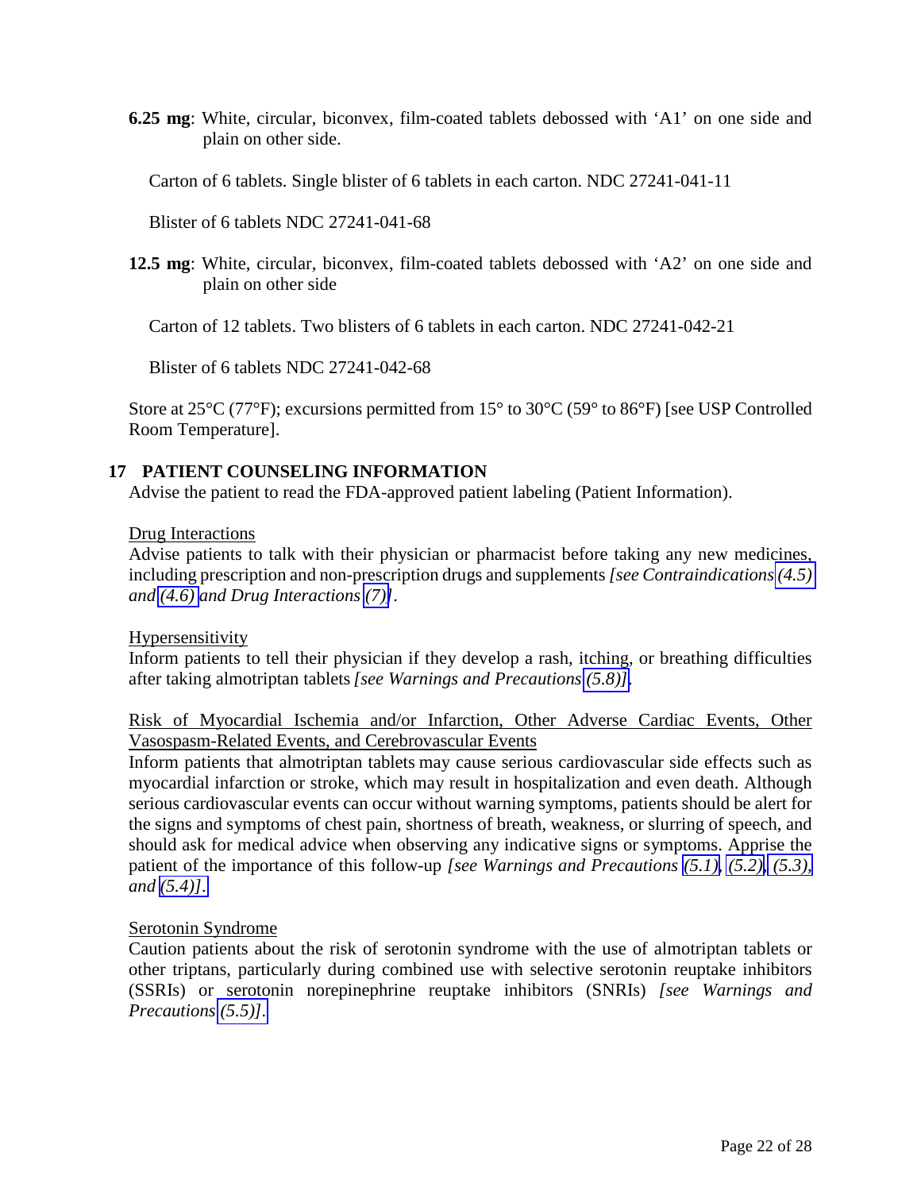<span id="page-21-0"></span>**6.25 mg**: White, circular, biconvex, film-coated tablets debossed with 'A1' on one side and plain on other side.

Carton of 6 tablets. Single blister of 6 tablets in each carton. NDC 27241-041-11

Blister of 6 tablets NDC 27241-041-68

**12.5 mg**: White, circular, biconvex, film-coated tablets debossed with 'A2' on one side and plain on other side

Carton of 12 tablets. Two blisters of 6 tablets in each carton. NDC 27241-042-21

Blister of 6 tablets NDC 27241-042-68

Store at  $25^{\circ}$ C (77°F); excursions permitted from 15° to 30°C (59° to 86°F) [see USP Controlled Room Temperature].

### **17 PATIENT COUNSELING INFORMATION**

Advise the patient to read the FDA-approved patient labeling (Patient Information).

#### Drug Interactions

Advise patients to talk with their physician or pharmacist before taking any new medicines, including prescription and non-prescription drugs and supplements *[see Contraindications [\(4.5\)](#page-3-0)  and [\(4.6\)](#page-3-0) and Drug Interactions [\(7\)\]](#page-11-0)*.

#### Hypersensitivity

Inform patients to tell their physician if they develop a rash, itching, or breathing difficulties after taking almotriptan tablets*[see Warnings and Precautions [\(5.8\)\]](#page-7-0)*.

Risk of Myocardial Ischemia and/or Infarction, Other Adverse Cardiac Events, Other Vasospasm-Related Events, and Cerebrovascular Events

Inform patients that almotriptan tablets may cause serious cardiovascular side effects such as myocardial infarction or stroke, which may result in hospitalization and even death. Although serious cardiovascular events can occur without warning symptoms, patients should be alert for the signs and symptoms of chest pain, shortness of breath, weakness, or slurring of speech, and should ask for medical advice when observing any indicative signs or symptoms. Apprise the patient of the importance of this follow-up *[see Warnings and Precautions [\(5.1\),](#page-4-0) [\(5.2\), \(5.3\),](#page-5-0) and [\(5.4\)\].](#page-6-0)* 

### Serotonin Syndrome

Caution patients about the risk of serotonin syndrome with the use of almotriptan tablets or other triptans, particularly during combined use with selective serotonin reuptake inhibitors (SSRIs) or serotonin norepinephrine reuptake inhibitors (SNRIs) *[see Warnings and Precautions [\(5.5\)\].](#page-6-0)*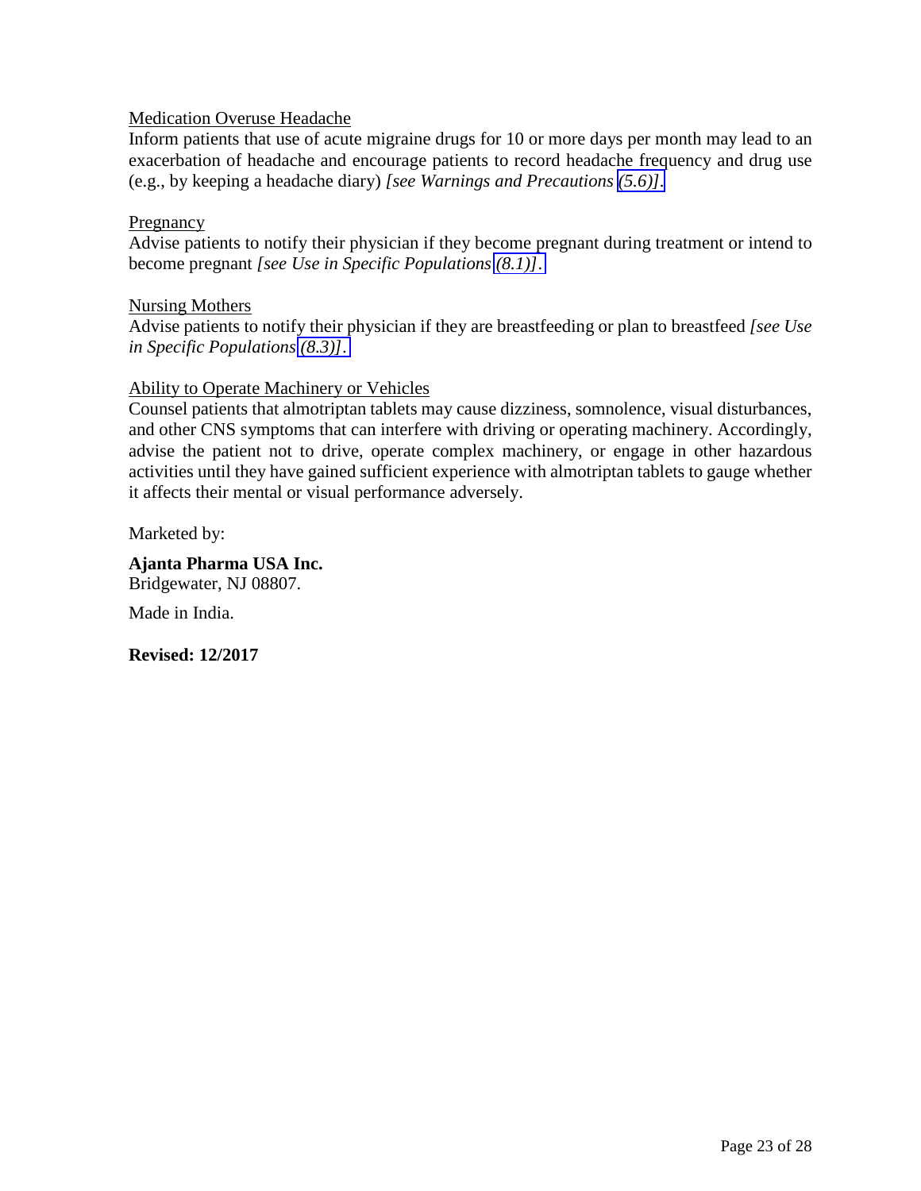# Medication Overuse Headache

Inform patients that use of acute migraine drugs for 10 or more days per month may lead to an exacerbation of headache and encourage patients to record headache frequency and drug use (e.g., by keeping a headache diary) *[see Warnings and Precautions [\(5.6\)\].](#page-6-0)*

# Pregnancy

Advise patients to notify their physician if they become pregnant during treatment or intend to become pregnant *[see Use in Specific Populations [\(8.1\)\]](#page-12-0)*.

### Nursing Mothers

Advise patients to notify their physician if they are breastfeeding or plan to breastfeed *[see Use in Specific Populations [\(8.3\)\]](#page-12-0)*.

### Ability to Operate Machinery or Vehicles

Counsel patients that almotriptan tablets may cause dizziness, somnolence, visual disturbances, and other CNS symptoms that can interfere with driving or operating machinery. Accordingly, advise the patient not to drive, operate complex machinery, or engage in other hazardous activities until they have gained sufficient experience with almotriptan tablets to gauge whether it affects their mental or visual performance adversely.

Marketed by:

**Ajanta Pharma USA Inc.** 

Bridgewater, NJ 08807.

Made in India.

**Revised: 12/2017**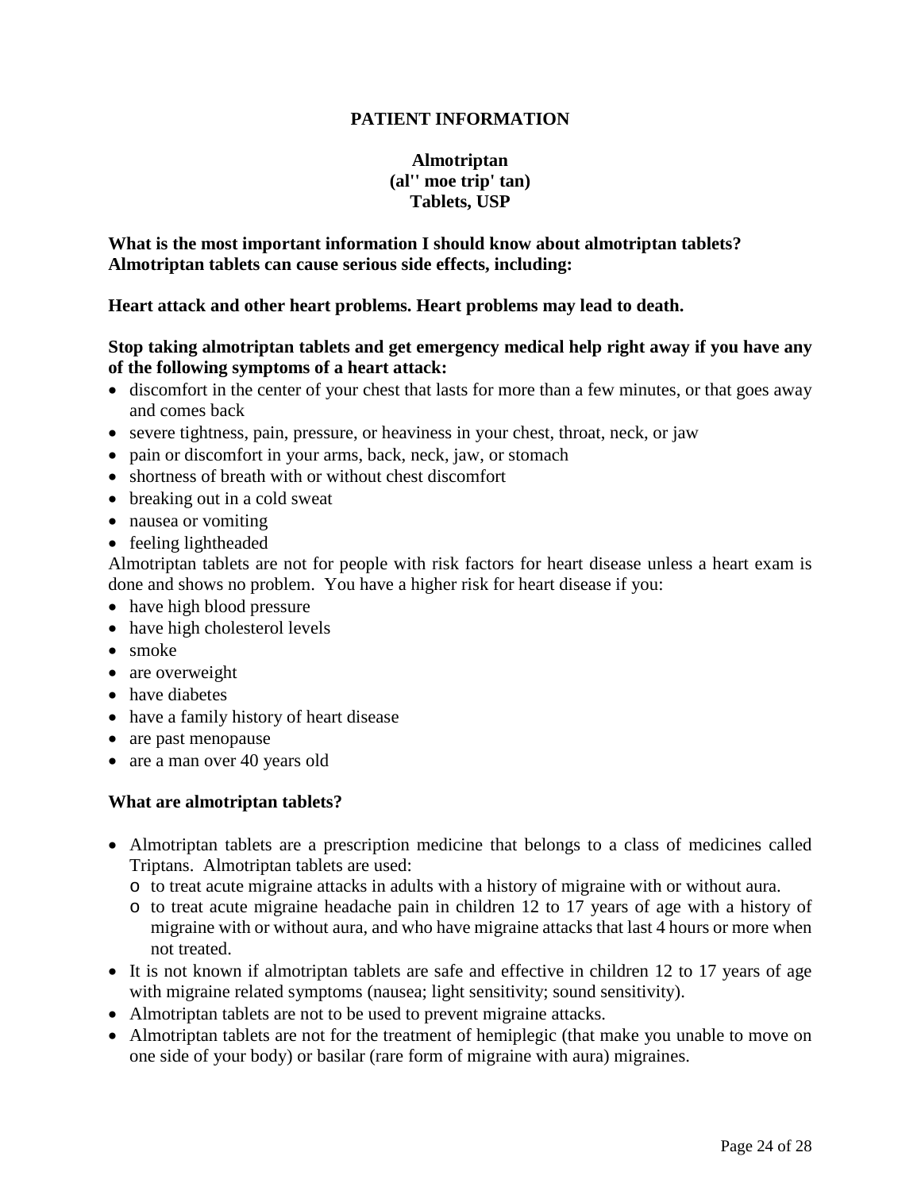# **PATIENT INFORMATION**

# **Almotriptan (al'' moe trip' tan) Tablets, USP**

**What is the most important information I should know about almotriptan tablets? Almotriptan tablets can cause serious side effects, including:** 

#### **Heart attack and other heart problems. Heart problems may lead to death.**

# **Stop taking almotriptan tablets and get emergency medical help right away if you have any of the following symptoms of a heart attack:**

- discomfort in the center of your chest that lasts for more than a few minutes, or that goes away and comes back
- severe tightness, pain, pressure, or heaviness in your chest, throat, neck, or jaw
- pain or discomfort in your arms, back, neck, jaw, or stomach
- shortness of breath with or without chest discomfort
- breaking out in a cold sweat
- nausea or vomiting
- feeling lightheaded

Almotriptan tablets are not for people with risk factors for heart disease unless a heart exam is done and shows no problem. You have a higher risk for heart disease if you:

- have high blood pressure
- have high cholesterol levels
- smoke
- are overweight
- have diabetes
- have a family history of heart disease
- are past menopause
- are a man over 40 years old

### **What are almotriptan tablets?**

- Almotriptan tablets are a prescription medicine that belongs to a class of medicines called Triptans. Almotriptan tablets are used:
	- o to treat acute migraine attacks in adults with a history of migraine with or without aura.
	- o to treat acute migraine headache pain in children 12 to 17 years of age with a history of migraine with or without aura, and who have migraine attacks that last 4 hours or more when not treated.
- It is not known if almotriptan tablets are safe and effective in children 12 to 17 years of age with migraine related symptoms (nausea; light sensitivity; sound sensitivity).
- Almotriptan tablets are not to be used to prevent migraine attacks.
- Almotriptan tablets are not for the treatment of hemiplegic (that make you unable to move on one side of your body) or basilar (rare form of migraine with aura) migraines.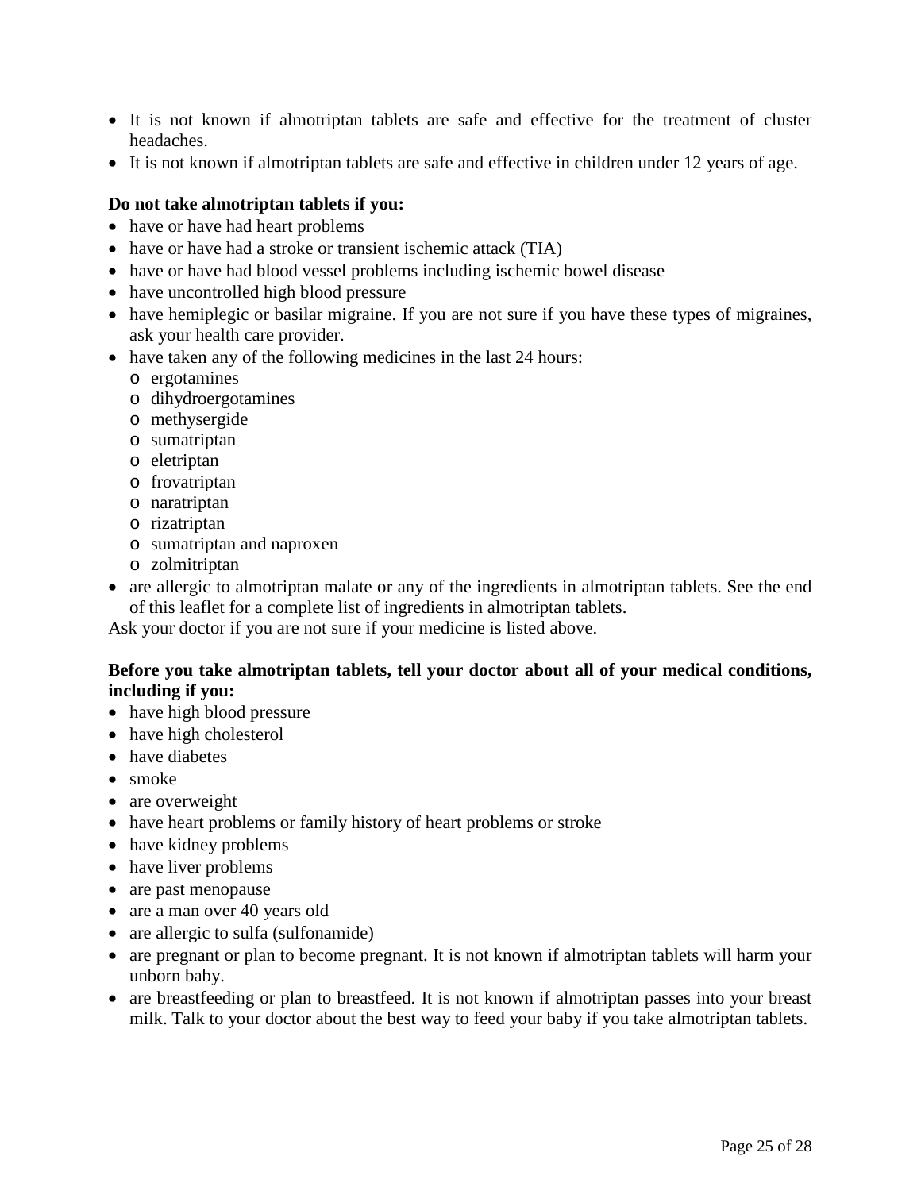- It is not known if almotriptan tablets are safe and effective for the treatment of cluster headaches.
- It is not known if almotriptan tablets are safe and effective in children under 12 years of age.

# **Do not take almotriptan tablets if you:**

- have or have had heart problems
- have or have had a stroke or transient ischemic attack (TIA)
- have or have had blood vessel problems including ischemic bowel disease
- have uncontrolled high blood pressure
- have hemiplegic or basilar migraine. If you are not sure if you have these types of migraines, ask your health care provider.
- have taken any of the following medicines in the last 24 hours:
	- o ergotamines
	- o dihydroergotamines
	- o methysergide
	- o sumatriptan
	- o eletriptan
	- o frovatriptan
	- o naratriptan
	- o rizatriptan
	- o sumatriptan and naproxen
	- o zolmitriptan
- are allergic to almotriptan malate or any of the ingredients in almotriptan tablets. See the end of this leaflet for a complete list of ingredients in almotriptan tablets.

Ask your doctor if you are not sure if your medicine is listed above.

# **Before you take almotriptan tablets, tell your doctor about all of your medical conditions, including if you:**

- have high blood pressure
- have high cholesterol
- have diabetes
- smoke
- are overweight
- have heart problems or family history of heart problems or stroke
- have kidney problems
- have liver problems
- are past menopause
- are a man over 40 years old
- are allergic to sulfa (sulfonamide)
- are pregnant or plan to become pregnant. It is not known if almotriptan tablets will harm your unborn baby.
- are breastfeeding or plan to breastfeed. It is not known if almotriptan passes into your breast milk. Talk to your doctor about the best way to feed your baby if you take almotriptan tablets.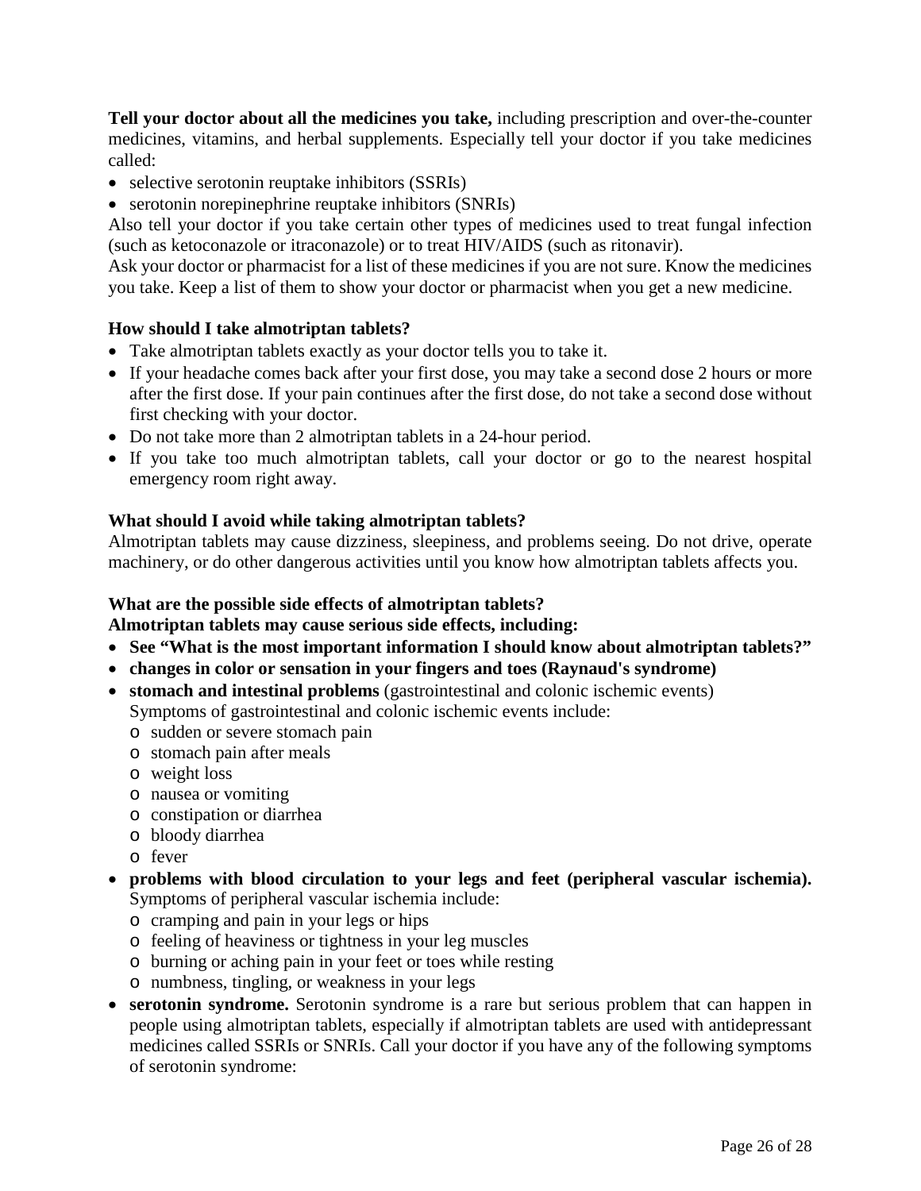**Tell your doctor about all the medicines you take,** including prescription and over-the-counter medicines, vitamins, and herbal supplements. Especially tell your doctor if you take medicines called:

- selective serotonin reuptake inhibitors (SSRIs)
- serotonin norepinephrine reuptake inhibitors (SNRIs)

Also tell your doctor if you take certain other types of medicines used to treat fungal infection (such as ketoconazole or itraconazole) or to treat HIV/AIDS (such as ritonavir).

Ask your doctor or pharmacist for a list of these medicines if you are not sure. Know the medicines you take. Keep a list of them to show your doctor or pharmacist when you get a new medicine.

### **How should I take almotriptan tablets?**

- Take almotriptan tablets exactly as your doctor tells you to take it.
- If your headache comes back after your first dose, you may take a second dose 2 hours or more after the first dose. If your pain continues after the first dose, do not take a second dose without first checking with your doctor.
- Do not take more than 2 almotriptan tablets in a 24-hour period.
- If you take too much almotriptan tablets, call your doctor or go to the nearest hospital emergency room right away.

### **What should I avoid while taking almotriptan tablets?**

Almotriptan tablets may cause dizziness, sleepiness, and problems seeing. Do not drive, operate machinery, or do other dangerous activities until you know how almotriptan tablets affects you.

### **What are the possible side effects of almotriptan tablets?**

**Almotriptan tablets may cause serious side effects, including:**

- **See "What is the most important information I should know about almotriptan tablets?"**
- **changes in color or sensation in your fingers and toes (Raynaud's syndrome)**
- **stomach and intestinal problems** (gastrointestinal and colonic ischemic events) Symptoms of gastrointestinal and colonic ischemic events include:
	- o sudden or severe stomach pain
	- o stomach pain after meals
	- o weight loss
	- o nausea or vomiting
	- o constipation or diarrhea
	- o bloody diarrhea
	- o fever
- **problems with blood circulation to your legs and feet (peripheral vascular ischemia).**  Symptoms of peripheral vascular ischemia include:
	- o cramping and pain in your legs or hips
	- o feeling of heaviness or tightness in your leg muscles
	- o burning or aching pain in your feet or toes while resting
	- o numbness, tingling, or weakness in your legs
- **serotonin syndrome.** Serotonin syndrome is a rare but serious problem that can happen in people using almotriptan tablets, especially if almotriptan tablets are used with antidepressant medicines called SSRIs or SNRIs. Call your doctor if you have any of the following symptoms of serotonin syndrome: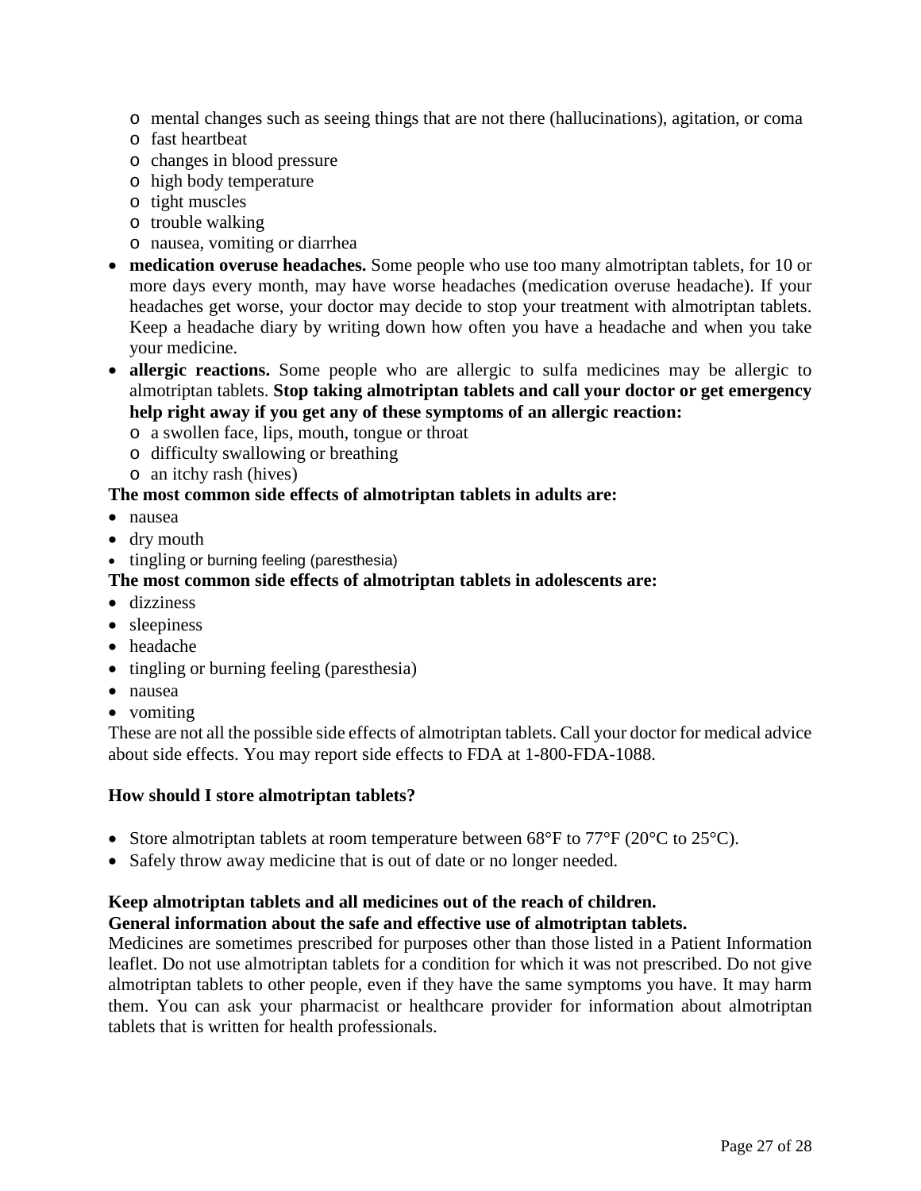- o mental changes such as seeing things that are not there (hallucinations), agitation, or coma
- o fast heartbeat
- o changes in blood pressure
- o high body temperature
- o tight muscles
- o trouble walking
- o nausea, vomiting or diarrhea
- **medication overuse headaches.** Some people who use too many almotriptan tablets, for 10 or more days every month, may have worse headaches (medication overuse headache). If your headaches get worse, your doctor may decide to stop your treatment with almotriptan tablets. Keep a headache diary by writing down how often you have a headache and when you take your medicine.
- **allergic reactions.** Some people who are allergic to sulfa medicines may be allergic to almotriptan tablets. **Stop taking almotriptan tablets and call your doctor or get emergency help right away if you get any of these symptoms of an allergic reaction:**
	- o a swollen face, lips, mouth, tongue or throat
	- o difficulty swallowing or breathing
	- o an itchy rash (hives)

#### **The most common side effects of almotriptan tablets in adults are:**

- nausea
- dry mouth
- tingling or burning feeling (paresthesia)

### **The most common side effects of almotriptan tablets in adolescents are:**

- dizziness
- sleepiness
- headache
- tingling or burning feeling (paresthesia)
- nausea
- vomiting

These are not all the possible side effects of almotriptan tablets. Call your doctor for medical advice about side effects. You may report side effects to FDA at 1-800-FDA-1088.

#### **How should I store almotriptan tablets?**

- Store almotriptan tablets at room temperature between 68°F to 77°F (20°C to 25°C).
- Safely throw away medicine that is out of date or no longer needed.

### **Keep almotriptan tablets and all medicines out of the reach of children.**

### **General information about the safe and effective use of almotriptan tablets.**

Medicines are sometimes prescribed for purposes other than those listed in a Patient Information leaflet. Do not use almotriptan tablets for a condition for which it was not prescribed. Do not give almotriptan tablets to other people, even if they have the same symptoms you have. It may harm them. You can ask your pharmacist or healthcare provider for information about almotriptan tablets that is written for health professionals.